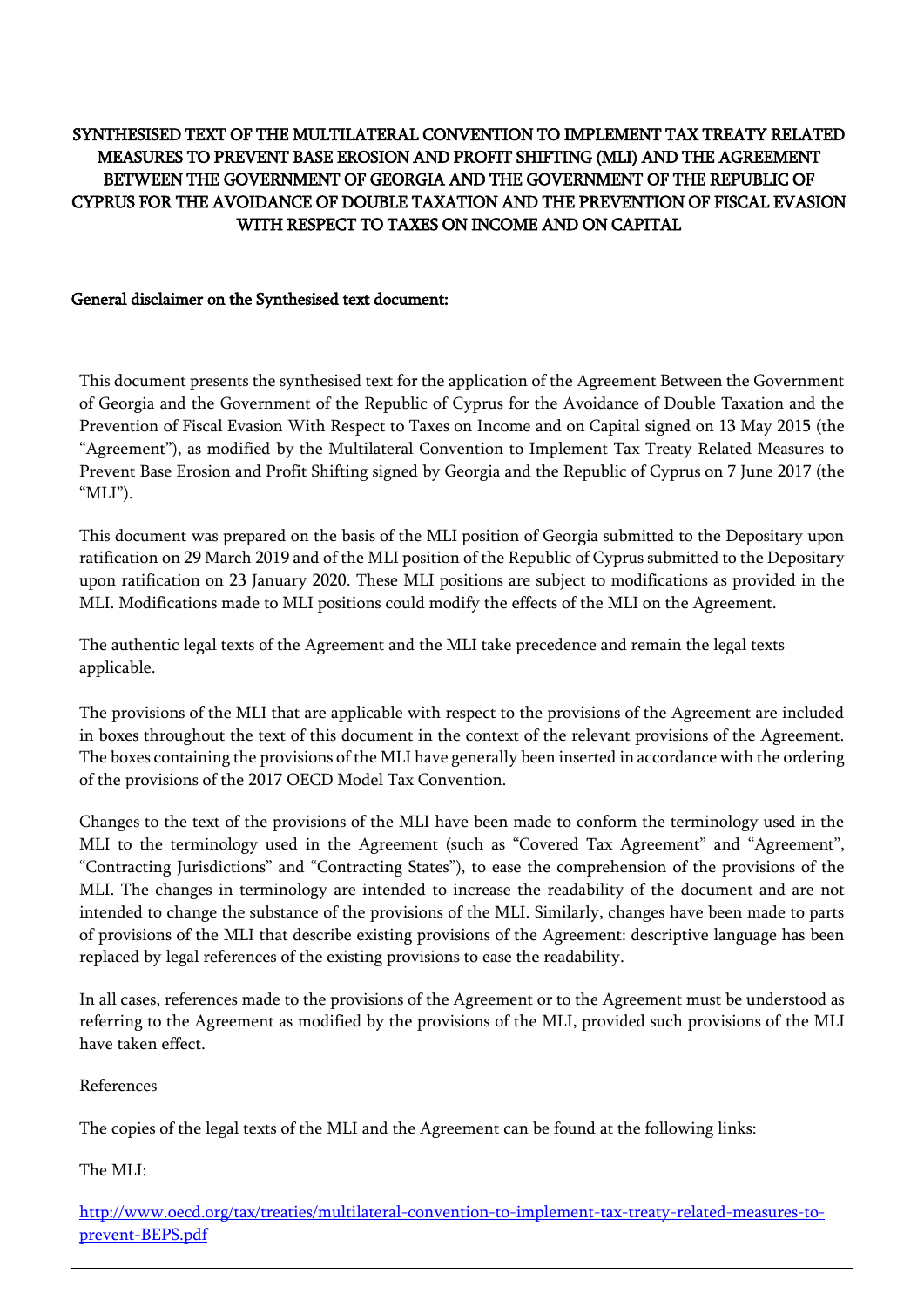### SYNTHESISED TEXT OF THE MULTILATERAL CONVENTION TO IMPLEMENT TAX TREATY RELATED MEASURES TO PREVENT BASE EROSION AND PROFIT SHIFTING (MLI) AND THE AGREEMENT BETWEEN THE GOVERNMENT OF GEORGIA AND THE GOVERNMENT OF THE REPUBLIC OF CYPRUS FOR THE AVOIDANCE OF DOUBLE TAXATION AND THE PREVENTION OF FISCAL EVASION WITH RESPECT TO TAXES ON INCOME AND ON CAPITAL

#### General disclaimer on the Synthesised text document:

This document presents the synthesised text for the application of the Agreement Between the Government of Georgia and the Government of the Republic of Cyprus for the Avoidance of Double Taxation and the Prevention of Fiscal Evasion With Respect to Taxes on Income and on Capital signed on 13 May 2015 (the "Agreement"), as modified by the Multilateral Convention to Implement Tax Treaty Related Measures to Prevent Base Erosion and Profit Shifting signed by Georgia and the Republic of Cyprus on 7 June 2017 (the "MLI").

This document was prepared on the basis of the MLI position of Georgia submitted to the Depositary upon ratification on 29 March 2019 and of the MLI position of the Republic of Cyprus submitted to the Depositary upon ratification on 23 January 2020. These MLI positions are subject to modifications as provided in the MLI. Modifications made to MLI positions could modify the effects of the MLI on the Agreement.

The authentic legal texts of the Agreement and the MLI take precedence and remain the legal texts applicable.

The provisions of the MLI that are applicable with respect to the provisions of the Agreement are included in boxes throughout the text of this document in the context of the relevant provisions of the Agreement. The boxes containing the provisions of the MLI have generally been inserted in accordance with the ordering of the provisions of the 2017 OECD Model Tax Convention.

Changes to the text of the provisions of the MLI have been made to conform the terminology used in the MLI to the terminology used in the Agreement (such as "Covered Tax Agreement" and "Agreement", "Contracting Jurisdictions" and "Contracting States"), to ease the comprehension of the provisions of the MLI. The changes in terminology are intended to increase the readability of the document and are not intended to change the substance of the provisions of the MLI. Similarly, changes have been made to parts of provisions of the MLI that describe existing provisions of the Agreement: descriptive language has been replaced by legal references of the existing provisions to ease the readability.

In all cases, references made to the provisions of the Agreement or to the Agreement must be understood as referring to the Agreement as modified by the provisions of the MLI, provided such provisions of the MLI have taken effect.

#### References

The copies of the legal texts of the MLI and the Agreement can be found at the following links:

The MLI:

[http://www.oecd.org/tax/treaties/multilateral-convention-to-implement-tax-treaty-related-measures-to](http://www.oecd.org/tax/treaties/multilateral-convention-to-implement-tax-treaty-related-measures-to-prevent-BEPS.pdf)[prevent-BEPS.pdf](http://www.oecd.org/tax/treaties/multilateral-convention-to-implement-tax-treaty-related-measures-to-prevent-BEPS.pdf)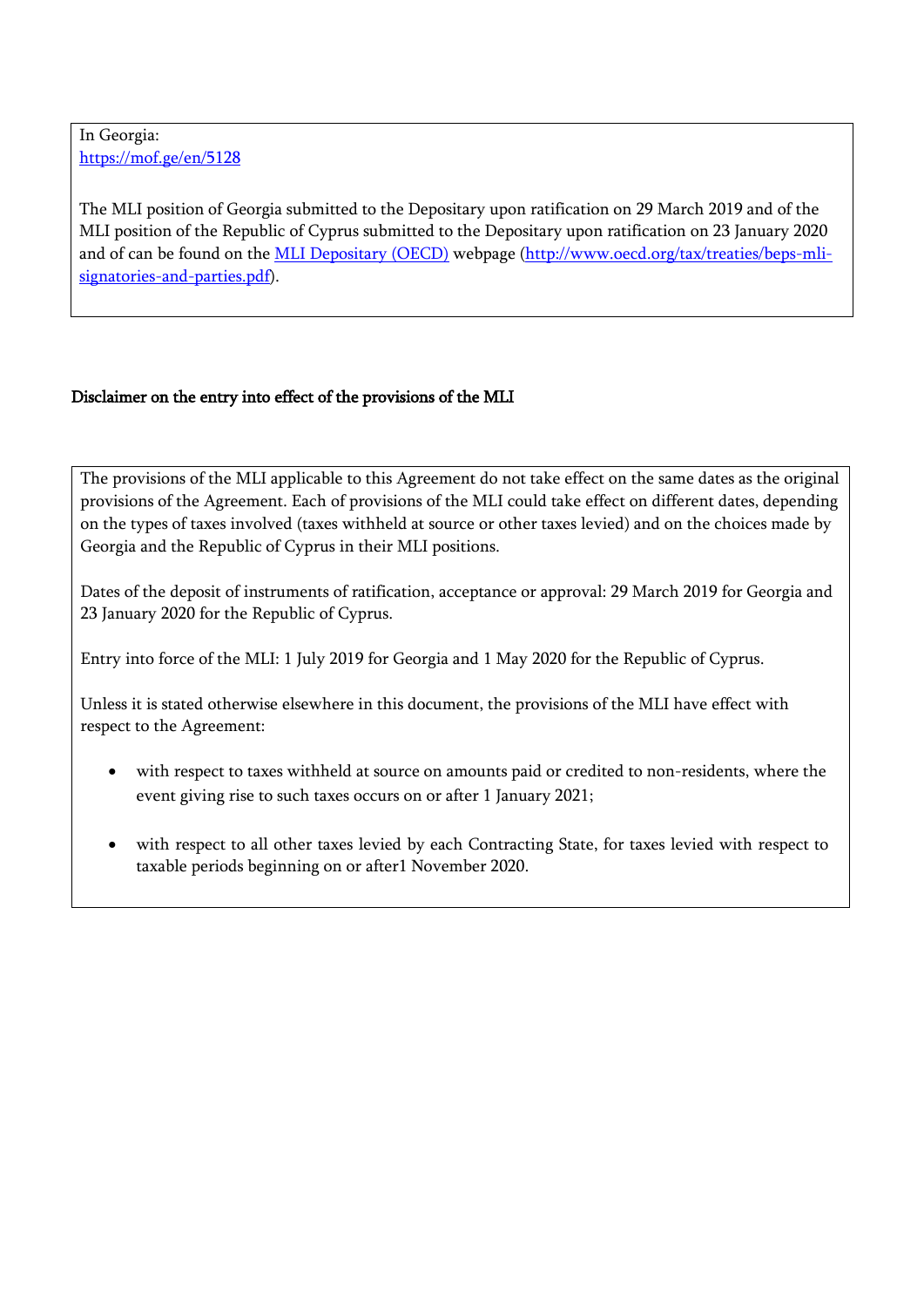### In Georgia: <https://mof.ge/en/5128>

The MLI position of Georgia submitted to the Depositary upon ratification on 29 March 2019 and of the MLI position of the Republic of Cyprus submitted to the Depositary upon ratification on 23 January 2020 and of can be found on the **MLI Depositary (OECD)** webpage [\(http://www.oecd.org/tax/treaties/beps-mli](http://www.oecd.org/tax/treaties/beps-mli-signatories-and-parties.pdf)[signatories-and-parties.pdf\)](http://www.oecd.org/tax/treaties/beps-mli-signatories-and-parties.pdf).

# Disclaimer on the entry into effect of the provisions of the MLI

The provisions of the MLI applicable to this Agreement do not take effect on the same dates as the original provisions of the Agreement. Each of provisions of the MLI could take effect on different dates, depending on the types of taxes involved (taxes withheld at source or other taxes levied) and on the choices made by Georgia and the Republic of Cyprus in their MLI positions.

Dates of the deposit of instruments of ratification, acceptance or approval: 29 March 2019 for Georgia and 23 January 2020 for the Republic of Cyprus.

Entry into force of the MLI: 1 July 2019 for Georgia and 1 May 2020 for the Republic of Cyprus.

Unless it is stated otherwise elsewhere in this document, the provisions of the MLI have effect with respect to the Agreement:

- with respect to taxes withheld at source on amounts paid or credited to non-residents, where the event giving rise to such taxes occurs on or after 1 January 2021;
- with respect to all other taxes levied by each Contracting State, for taxes levied with respect to taxable periods beginning on or after1 November 2020.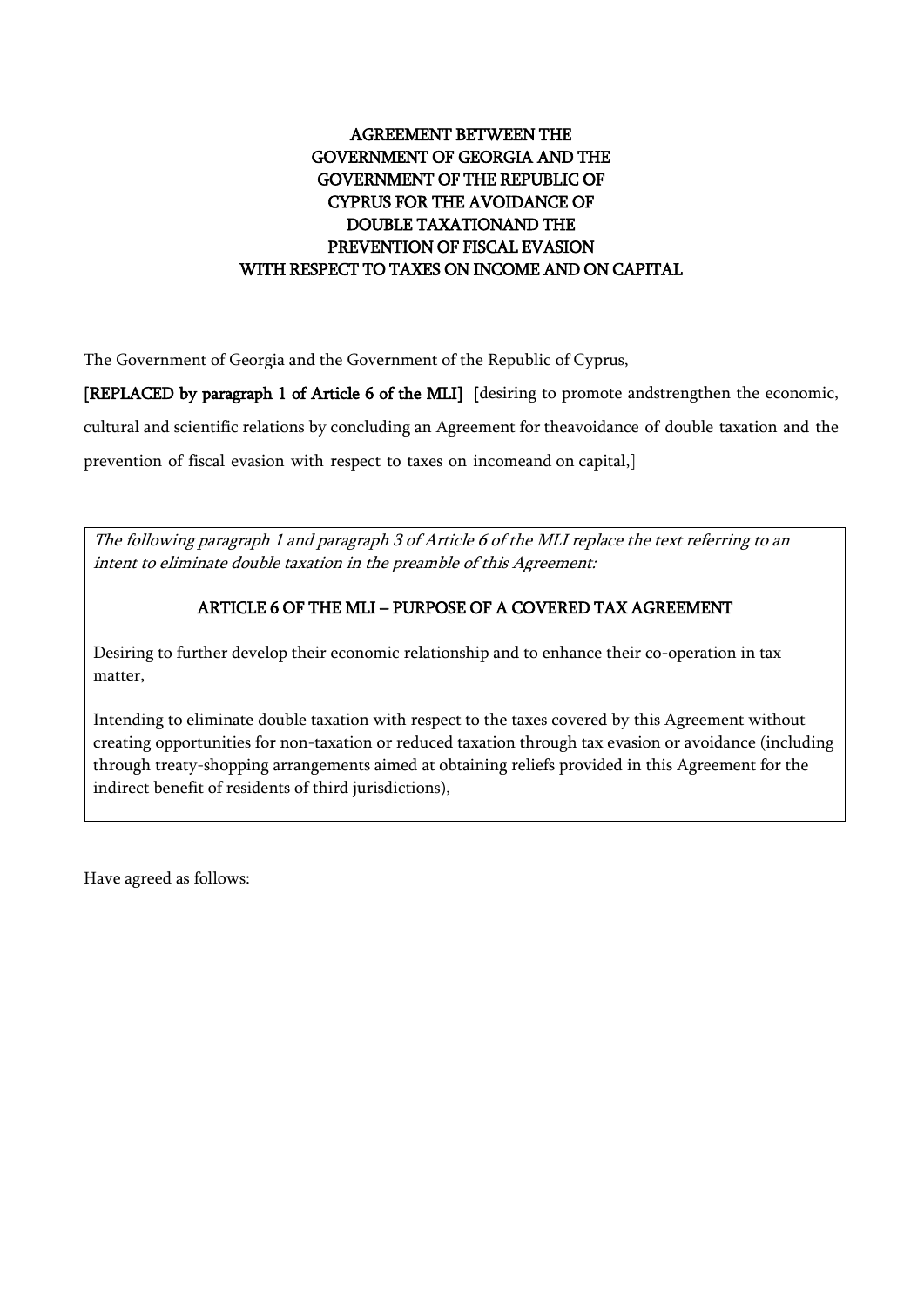# AGREEMENT BETWEEN THE GOVERNMENT OF GEORGIA AND THE GOVERNMENT OF THE REPUBLIC OF CYPRUS FOR THE AVOIDANCE OF DOUBLE TAXATIONAND THE PREVENTION OF FISCAL EVASION WITH RESPECT TO TAXES ON INCOME AND ON CAPITAL

The Government of Georgia and the Government of the Republic of Cyprus,

[REPLACED by paragraph 1 of Article 6 of the MLI] [desiring to promote andstrengthen the economic, cultural and scientific relations by concluding an Agreement for theavoidance of double taxation and the prevention of fiscal evasion with respect to taxes on incomeand on capital,]

The following paragraph 1 and paragraph 3 of Article 6 of the MLI replace the text referring to an intent to eliminate double taxation in the preamble of this Agreement:

# ARTICLE 6 OF THE MLI – PURPOSE OF A COVERED TAX AGREEMENT

Desiring to further develop their economic relationship and to enhance their co-operation in tax matter,

Intending to eliminate double taxation with respect to the taxes covered by this Agreement without creating opportunities for non-taxation or reduced taxation through tax evasion or avoidance (including through treaty-shopping arrangements aimed at obtaining reliefs provided in this Agreement for the indirect benefit of residents of third jurisdictions),

Have agreed as follows: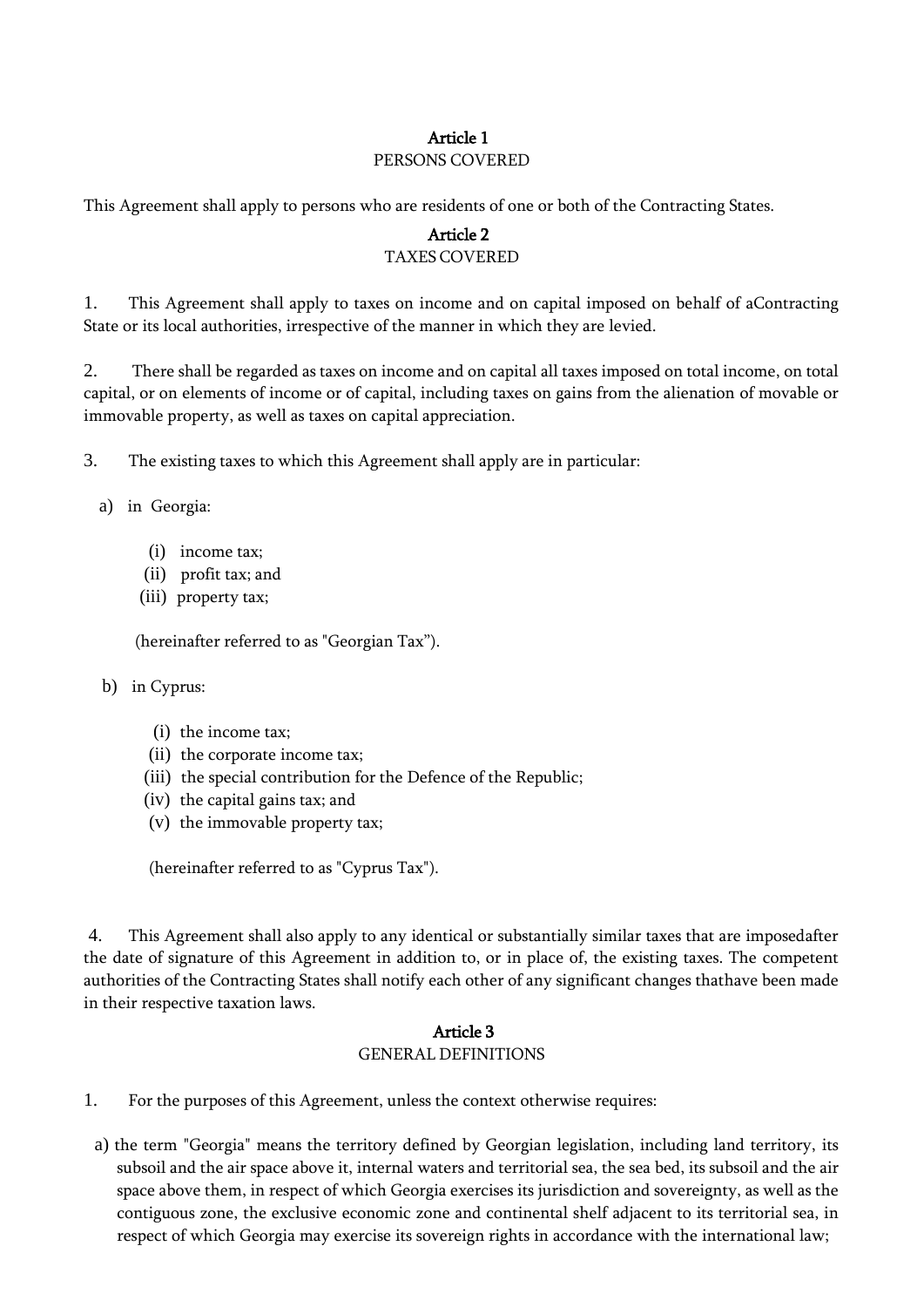# Article 1 PERSONS COVERED

This Agreement shall apply to persons who are residents of one or both of the Contracting States.

# Article 2

### TAXES COVERED

1. This Agreement shall apply to taxes on income and on capital imposed on behalf of aContracting State or its local authorities, irrespective of the manner in which they are levied.

2. There shall be regarded as taxes on income and on capital all taxes imposed on total income, on total capital, or on elements of income or of capital, including taxes on gains from the alienation of movable or immovable property, as well as taxes on capital appreciation.

3. The existing taxes to which this Agreement shall apply are in particular:

- a) in Georgia:
	- (i) income tax;
	- (ii) profit tax; and
	- (iii) property tax;

(hereinafter referred to as "Georgian Tax").

- b) in Cyprus:
	- (i) the income tax;
	- (ii) the corporate income tax;
	- (iii) the special contribution for the Defence of the Republic;
	- (iv) the capital gains tax; and
	- (v) the immovable property tax;

(hereinafter referred to as "Cyprus Tax").

4. This Agreement shall also apply to any identical or substantially similar taxes that are imposedafter the date of signature of this Agreement in addition to, or in place of, the existing taxes. The competent authorities of the Contracting States shall notify each other of any significant changes thathave been made in their respective taxation laws.

# Article 3

### GENERAL DEFINITIONS

1. For the purposes of this Agreement, unless the context otherwise requires:

a) the term "Georgia" means the territory defined by Georgian legislation, including land territory, its subsoil and the air space above it, internal waters and territorial sea, the sea bed, its subsoil and the air space above them, in respect of which Georgia exercises its jurisdiction and sovereignty, as well as the contiguous zone, the exclusive economic zone and continental shelf adjacent to its territorial sea, in respect of which Georgia may exercise its sovereign rights in accordance with the international law;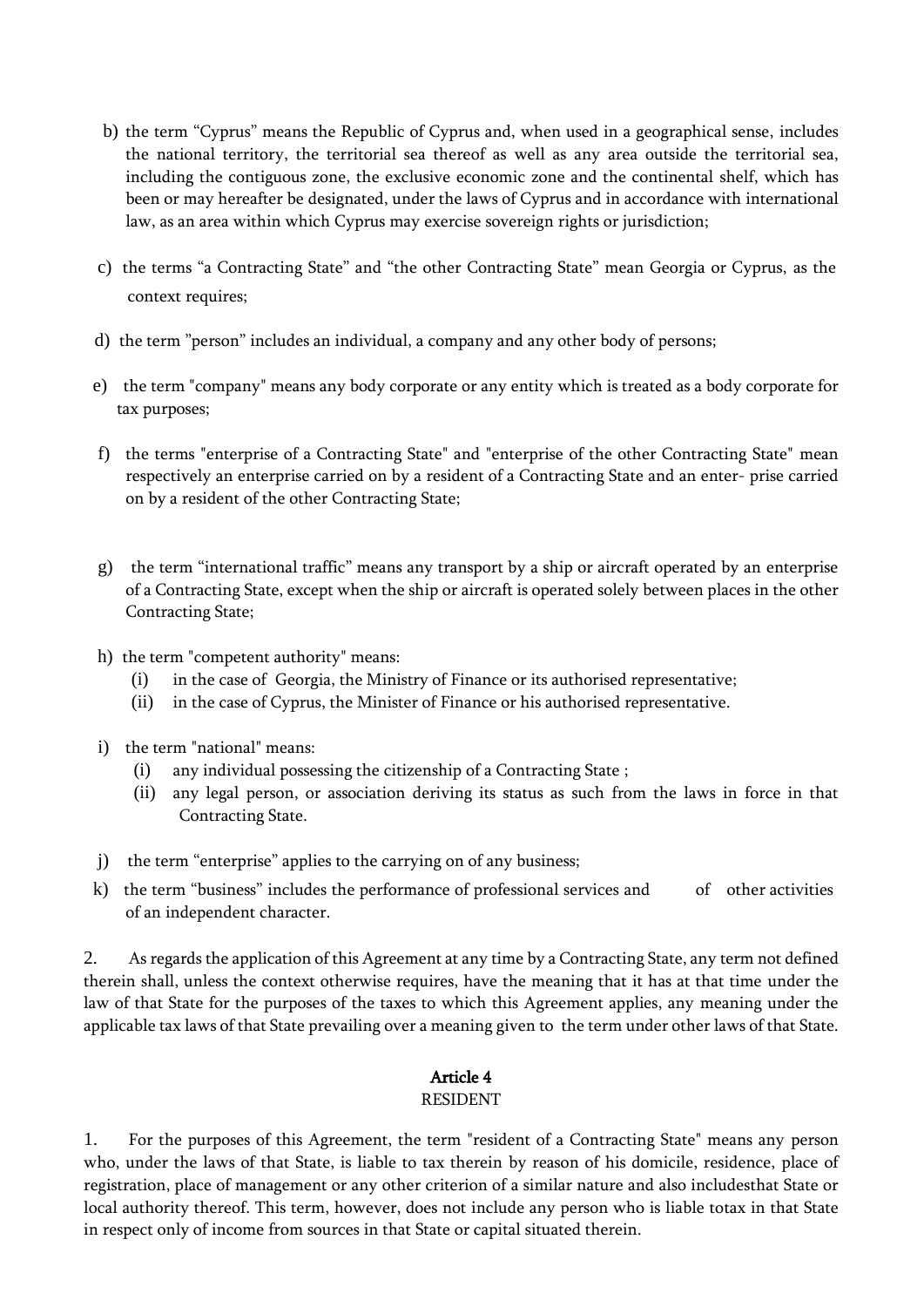- b) the term "Cyprus" means the Republic of Cyprus and, when used in a geographical sense, includes the national territory, the territorial sea thereof as well as any area outside the territorial sea, including the contiguous zone, the exclusive economic zone and the continental shelf, which has been or may hereafter be designated, under the laws of Cyprus and in accordance with international law, as an area within which Cyprus may exercise sovereign rights or jurisdiction;
- c) the terms "a Contracting State" and "the other Contracting State" mean Georgia or Cyprus, as the context requires;
- d) the term "person" includes an individual, a company and any other body of persons;
- e) the term "company" means any body corporate or any entity which is treated as a body corporate for tax purposes;
- f) the terms "enterprise of a Contracting State" and "enterprise of the other Contracting State" mean respectively an enterprise carried on by a resident of a Contracting State and an enter- prise carried on by a resident of the other Contracting State;
- g) the term "international traffic" means any transport by a ship or aircraft operated by an enterprise of a Contracting State, except when the ship or aircraft is operated solely between places in the other Contracting State;
- h) the term "competent authority" means:
	- (i) in the case of Georgia, the Ministry of Finance or its authorised representative;
	- (ii) in the case of Cyprus, the Minister of Finance or his authorised representative.
- i) the term "national" means:
	- (i) any individual possessing the citizenship of a Contracting State ;
	- (ii) any legal person, or association deriving its status as such from the laws in force in that Contracting State.
- j) the term "enterprise" applies to the carrying on of any business;
- k) the term "business" includes the performance of professional services and of other activities of an independent character.

2. As regards the application of this Agreement at any time by a Contracting State, any term not defined therein shall, unless the context otherwise requires, have the meaning that it has at that time under the law of that State for the purposes of the taxes to which this Agreement applies, any meaning under the applicable tax laws of that State prevailing over a meaning given to the term under other laws of that State.

### Article 4

### RESIDENT

1. For the purposes of this Agreement, the term "resident of a Contracting State" means any person who, under the laws of that State, is liable to tax therein by reason of his domicile, residence, place of registration, place of management or any other criterion of a similar nature and also includesthat State or local authority thereof. This term, however, does not include any person who is liable totax in that State in respect only of income from sources in that State or capital situated therein.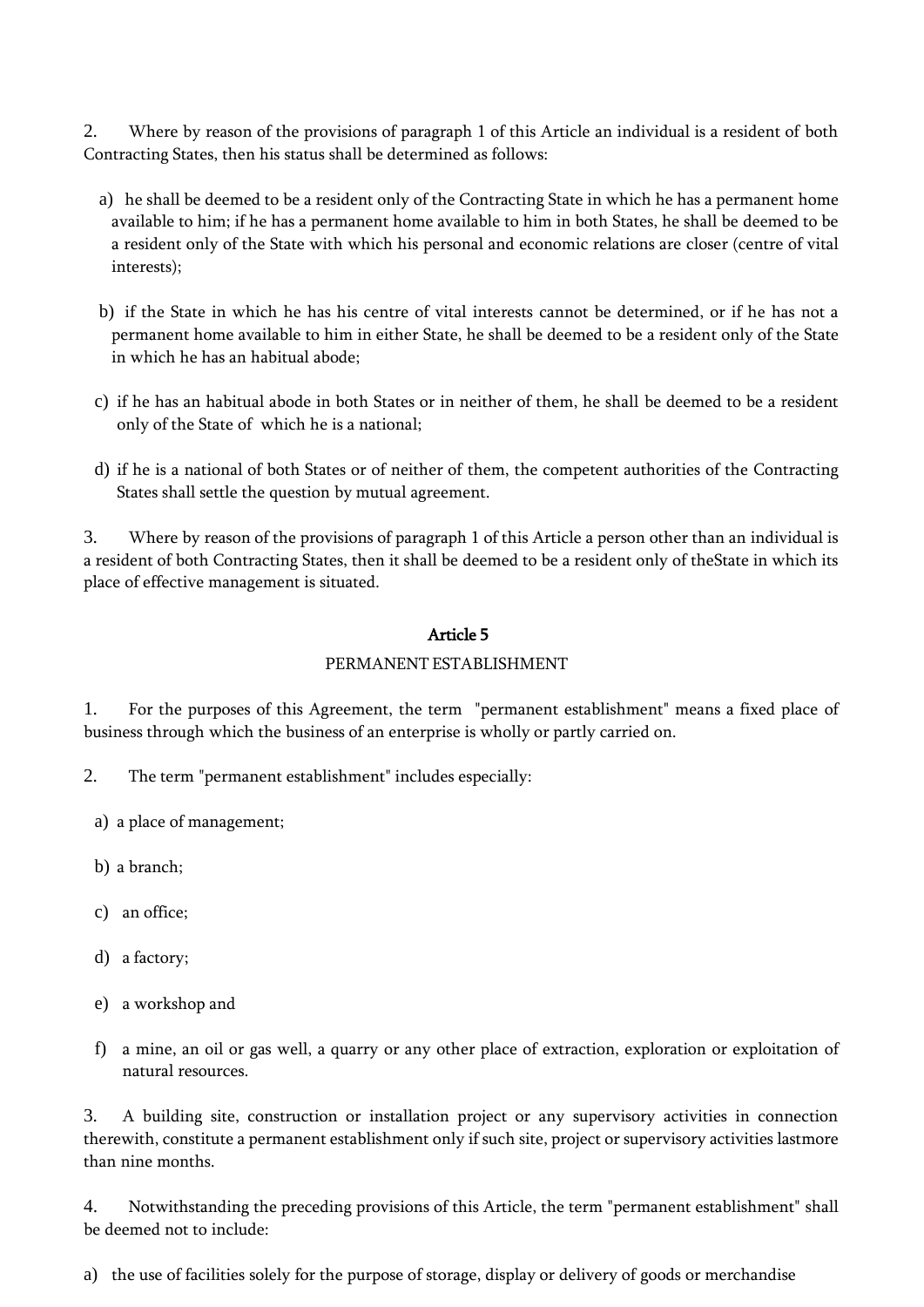2. Where by reason of the provisions of paragraph 1 of this Article an individual is a resident of both Contracting States, then his status shall be determined as follows:

- a) he shall be deemed to be a resident only of the Contracting State in which he has a permanent home available to him; if he has a permanent home available to him in both States, he shall be deemed to be a resident only of the State with which his personal and economic relations are closer (centre of vital interests);
- b) if the State in which he has his centre of vital interests cannot be determined, or if he has not a permanent home available to him in either State, he shall be deemed to be a resident only of the State in which he has an habitual abode;
- c) if he has an habitual abode in both States or in neither of them, he shall be deemed to be a resident only of the State of which he is a national;
- d) if he is a national of both States or of neither of them, the competent authorities of the Contracting States shall settle the question by mutual agreement.

3. Where by reason of the provisions of paragraph 1 of this Article a person other than an individual is a resident of both Contracting States, then it shall be deemed to be a resident only of theState in which its place of effective management is situated.

### Article 5

### PERMANENT ESTABLISHMENT

1. For the purposes of this Agreement, the term "permanent establishment" means a fixed place of business through which the business of an enterprise is wholly or partly carried on.

2. The term "permanent establishment" includes especially:

- a) a place of management;
- b) a branch;
- c) an office;
- d) a factory;
- e) a workshop and
- f) a mine, an oil or gas well, a quarry or any other place of extraction, exploration or exploitation of natural resources.

3. A building site, construction or installation project or any supervisory activities in connection therewith, constitute a permanent establishment only if such site, project or supervisory activities lastmore than nine months.

4. Notwithstanding the preceding provisions of this Article, the term "permanent establishment" shall be deemed not to include:

a) the use of facilities solely for the purpose of storage, display or delivery of goods or merchandise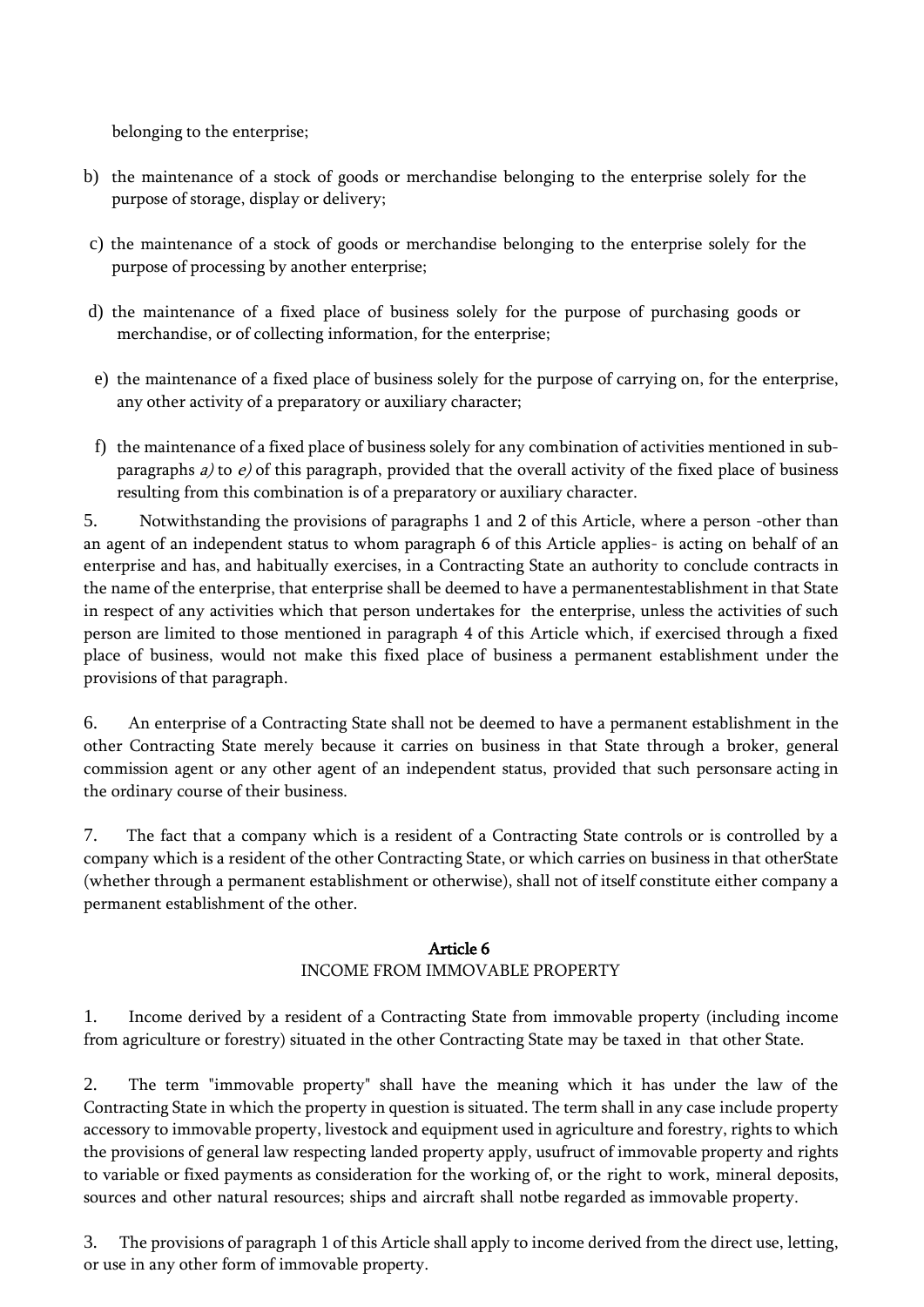belonging to the enterprise;

- b) the maintenance of a stock of goods or merchandise belonging to the enterprise solely for the purpose of storage, display or delivery;
- c) the maintenance of a stock of goods or merchandise belonging to the enterprise solely for the purpose of processing by another enterprise;
- d) the maintenance of a fixed place of business solely for the purpose of purchasing goods or merchandise, or of collecting information, for the enterprise;
- e) the maintenance of a fixed place of business solely for the purpose of carrying on, for the enterprise, any other activity of a preparatory or auxiliary character;
- f) the maintenance of a fixed place of business solely for any combination of activities mentioned in subparagraphs  $a$ ) to  $e$ ) of this paragraph, provided that the overall activity of the fixed place of business resulting from this combination is of a preparatory or auxiliary character.

5. Notwithstanding the provisions of paragraphs 1 and 2 of this Article, where a person -other than an agent of an independent status to whom paragraph 6 of this Article applies- is acting on behalf of an enterprise and has, and habitually exercises, in a Contracting State an authority to conclude contracts in the name of the enterprise, that enterprise shall be deemed to have a permanentestablishment in that State in respect of any activities which that person undertakes for the enterprise, unless the activities of such person are limited to those mentioned in paragraph 4 of this Article which, if exercised through a fixed place of business, would not make this fixed place of business a permanent establishment under the provisions of that paragraph.

6. An enterprise of a Contracting State shall not be deemed to have a permanent establishment in the other Contracting State merely because it carries on business in that State through a broker, general commission agent or any other agent of an independent status, provided that such personsare acting in the ordinary course of their business.

7. The fact that a company which is a resident of a Contracting State controls or is controlled by a company which is a resident of the other Contracting State, or which carries on business in that otherState (whether through a permanent establishment or otherwise), shall not of itself constitute either company a permanent establishment of the other.

### Article 6

### INCOME FROM IMMOVABLE PROPERTY

1. Income derived by a resident of a Contracting State from immovable property (including income from agriculture or forestry) situated in the other Contracting State may be taxed in that other State.

2. The term "immovable property" shall have the meaning which it has under the law of the Contracting State in which the property in question is situated. The term shall in any case include property accessory to immovable property, livestock and equipment used in agriculture and forestry, rights to which the provisions of general law respecting landed property apply, usufruct of immovable property and rights to variable or fixed payments as consideration for the working of, or the right to work, mineral deposits, sources and other natural resources; ships and aircraft shall notbe regarded as immovable property.

3. The provisions of paragraph 1 of this Article shall apply to income derived from the direct use, letting, or use in any other form of immovable property.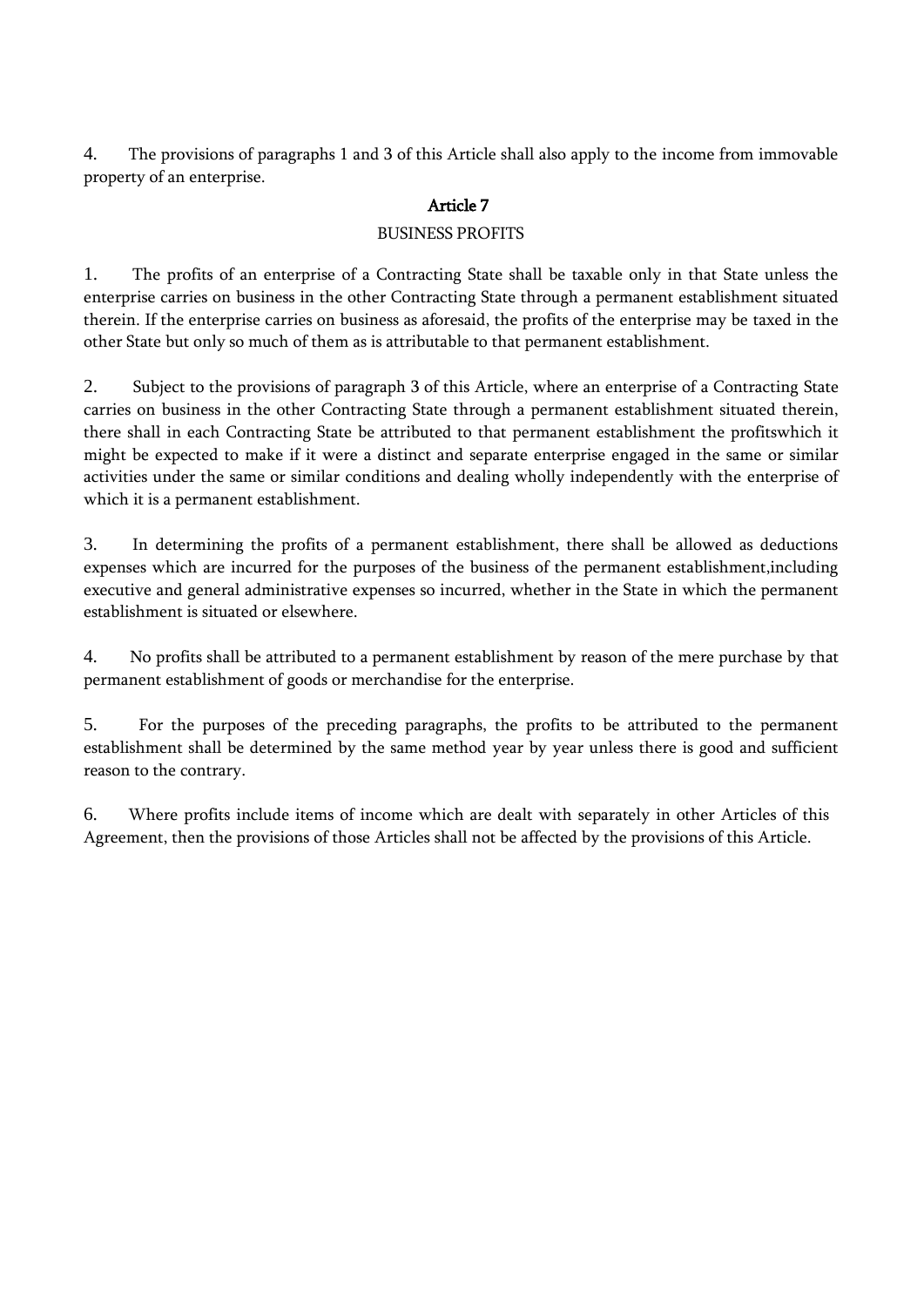4. The provisions of paragraphs 1 and 3 of this Article shall also apply to the income from immovable property of an enterprise.

### Article 7

### BUSINESS PROFITS

1. The profits of an enterprise of a Contracting State shall be taxable only in that State unless the enterprise carries on business in the other Contracting State through a permanent establishment situated therein. If the enterprise carries on business as aforesaid, the profits of the enterprise may be taxed in the other State but only so much of them as is attributable to that permanent establishment.

2. Subject to the provisions of paragraph 3 of this Article, where an enterprise of a Contracting State carries on business in the other Contracting State through a permanent establishment situated therein, there shall in each Contracting State be attributed to that permanent establishment the profitswhich it might be expected to make if it were a distinct and separate enterprise engaged in the same or similar activities under the same or similar conditions and dealing wholly independently with the enterprise of which it is a permanent establishment.

3. In determining the profits of a permanent establishment, there shall be allowed as deductions expenses which are incurred for the purposes of the business of the permanent establishment,including executive and general administrative expenses so incurred, whether in the State in which the permanent establishment is situated or elsewhere.

4. No profits shall be attributed to a permanent establishment by reason of the mere purchase by that permanent establishment of goods or merchandise for the enterprise.

5. For the purposes of the preceding paragraphs, the profits to be attributed to the permanent establishment shall be determined by the same method year by year unless there is good and sufficient reason to the contrary.

6. Where profits include items of income which are dealt with separately in other Articles of this Agreement, then the provisions of those Articles shall not be affected by the provisions of this Article.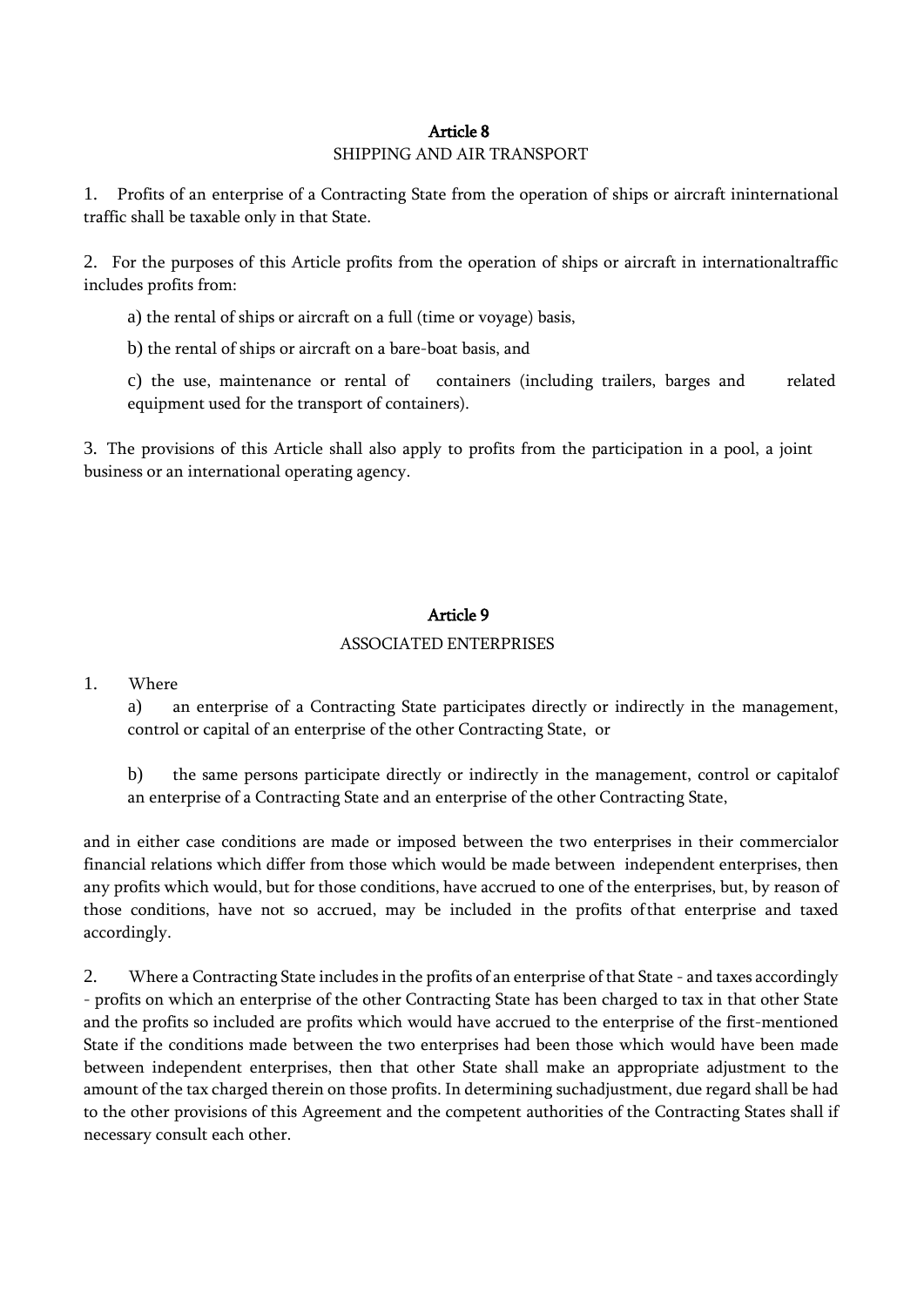#### SHIPPING AND AIR TRANSPORT

1. Profits of an enterprise of a Contracting State from the operation of ships or aircraft ininternational traffic shall be taxable only in that State.

2. For the purposes of this Article profits from the operation of ships or aircraft in internationaltraffic includes profits from:

a) the rental of ships or aircraft on a full (time or voyage) basis,

b) the rental of ships or aircraft on a bare-boat basis, and

c) the use, maintenance or rental of containers (including trailers, barges and related equipment used for the transport of containers).

3. The provisions of this Article shall also apply to profits from the participation in a pool, a joint business or an international operating agency.

### Article 9

#### ASSOCIATED ENTERPRISES

1. Where

a) an enterprise of a Contracting State participates directly or indirectly in the management, control or capital of an enterprise of the other Contracting State, or

b) the same persons participate directly or indirectly in the management, control or capitalof an enterprise of a Contracting State and an enterprise of the other Contracting State,

and in either case conditions are made or imposed between the two enterprises in their commercialor financial relations which differ from those which would be made between independent enterprises, then any profits which would, but for those conditions, have accrued to one of the enterprises, but, by reason of those conditions, have not so accrued, may be included in the profits ofthat enterprise and taxed accordingly.

2. Where a Contracting State includes in the profits of an enterprise of that State - and taxes accordingly - profits on which an enterprise of the other Contracting State has been charged to tax in that other State and the profits so included are profits which would have accrued to the enterprise of the first-mentioned State if the conditions made between the two enterprises had been those which would have been made between independent enterprises, then that other State shall make an appropriate adjustment to the amount of the tax charged therein on those profits. In determining suchadjustment, due regard shall be had to the other provisions of this Agreement and the competent authorities of the Contracting States shall if necessary consult each other.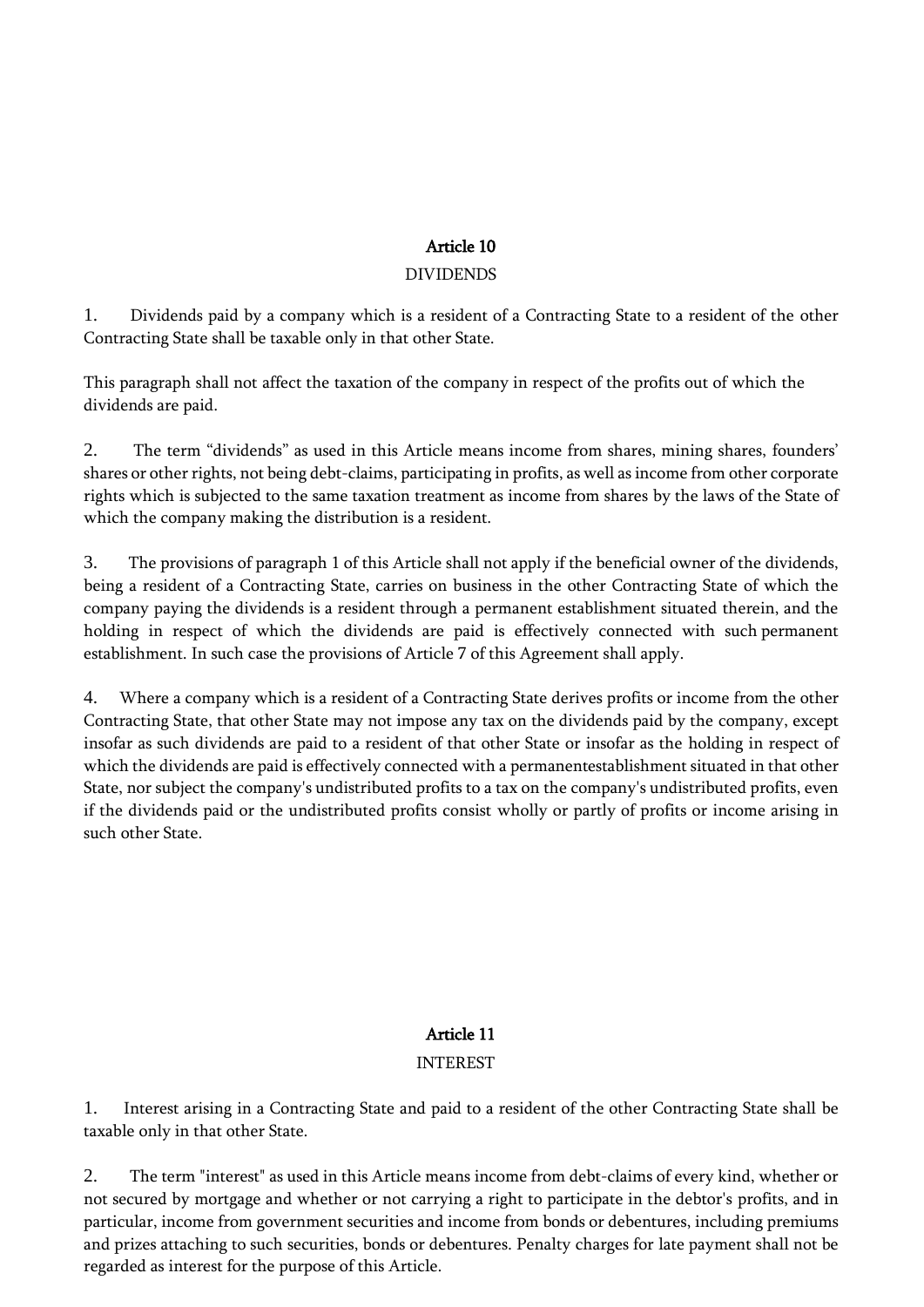# Article 10 DIVIDENDS

1. Dividends paid by a company which is a resident of a Contracting State to a resident of the other Contracting State shall be taxable only in that other State.

This paragraph shall not affect the taxation of the company in respect of the profits out of which the dividends are paid.

2. The term "dividends" as used in this Article means income from shares, mining shares, founders' shares or other rights, not being debt-claims, participating in profits, as well as income from other corporate rights which is subjected to the same taxation treatment as income from shares by the laws of the State of which the company making the distribution is a resident.

3. The provisions of paragraph 1 of this Article shall not apply if the beneficial owner of the dividends, being a resident of a Contracting State, carries on business in the other Contracting State of which the company paying the dividends is a resident through a permanent establishment situated therein, and the holding in respect of which the dividends are paid is effectively connected with such permanent establishment. In such case the provisions of Article 7 of this Agreement shall apply.

4. Where a company which is a resident of a Contracting State derives profits or income from the other Contracting State, that other State may not impose any tax on the dividends paid by the company, except insofar as such dividends are paid to a resident of that other State or insofar as the holding in respect of which the dividends are paid is effectively connected with a permanentestablishment situated in that other State, nor subject the company's undistributed profits to a tax on the company's undistributed profits, even if the dividends paid or the undistributed profits consist wholly or partly of profits or income arising in such other State.

# Article 11

### INTEREST

1. Interest arising in a Contracting State and paid to a resident of the other Contracting State shall be taxable only in that other State.

2. The term "interest" as used in this Article means income from debt-claims of every kind, whether or not secured by mortgage and whether or not carrying a right to participate in the debtor's profits, and in particular, income from government securities and income from bonds or debentures, including premiums and prizes attaching to such securities, bonds or debentures. Penalty charges for late payment shall not be regarded as interest for the purpose of this Article.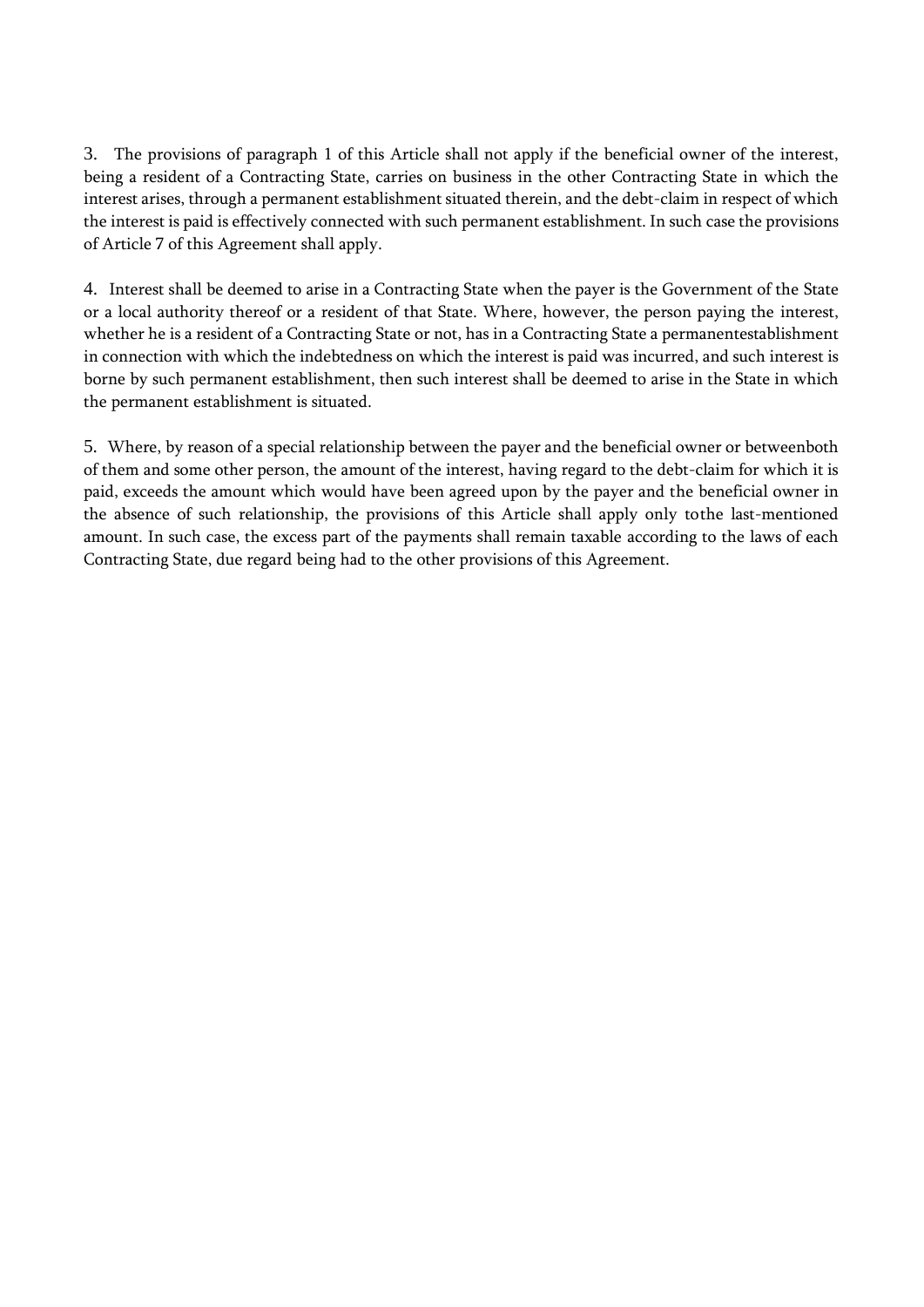3. The provisions of paragraph 1 of this Article shall not apply if the beneficial owner of the interest, being a resident of a Contracting State, carries on business in the other Contracting State in which the interest arises, through a permanent establishment situated therein, and the debt-claim in respect of which the interest is paid is effectively connected with such permanent establishment. In such case the provisions of Article 7 of this Agreement shall apply.

4. Interest shall be deemed to arise in a Contracting State when the payer is the Government of the State or a local authority thereof or a resident of that State. Where, however, the person paying the interest, whether he is a resident of a Contracting State or not, has in a Contracting State a permanentestablishment in connection with which the indebtedness on which the interest is paid was incurred, and such interest is borne by such permanent establishment, then such interest shall be deemed to arise in the State in which the permanent establishment is situated.

5. Where, by reason of a special relationship between the payer and the beneficial owner or betweenboth of them and some other person, the amount of the interest, having regard to the debt-claim for which it is paid, exceeds the amount which would have been agreed upon by the payer and the beneficial owner in the absence of such relationship, the provisions of this Article shall apply only tothe last-mentioned amount. In such case, the excess part of the payments shall remain taxable according to the laws of each Contracting State, due regard being had to the other provisions of this Agreement.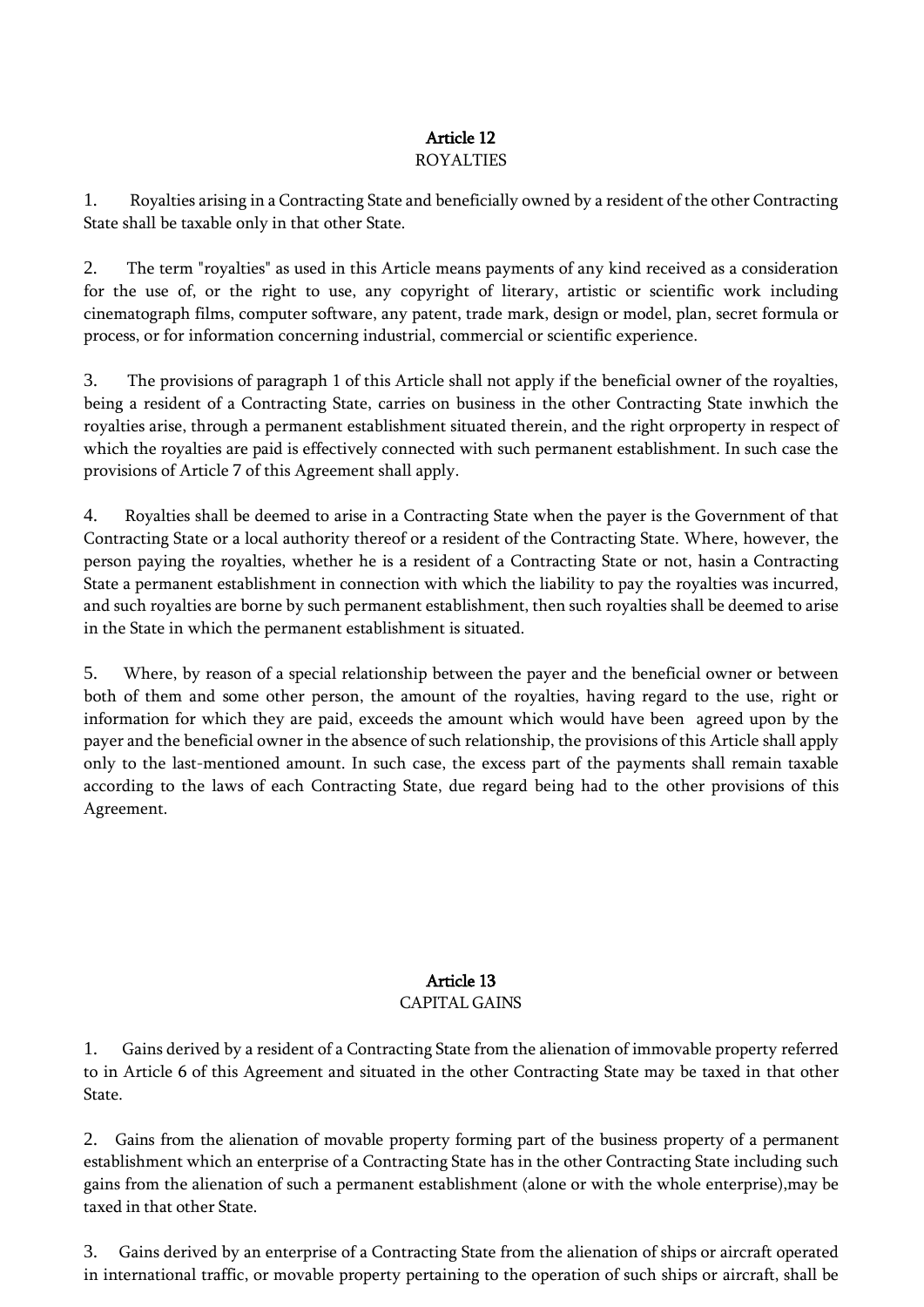### Article 12 ROYALTIES

1. Royalties arising in a Contracting State and beneficially owned by a resident of the other Contracting State shall be taxable only in that other State.

2. The term "royalties" as used in this Article means payments of any kind received as a consideration for the use of, or the right to use, any copyright of literary, artistic or scientific work including cinematograph films, computer software, any patent, trade mark, design or model, plan, secret formula or process, or for information concerning industrial, commercial or scientific experience.

3. The provisions of paragraph 1 of this Article shall not apply if the beneficial owner of the royalties, being a resident of a Contracting State, carries on business in the other Contracting State inwhich the royalties arise, through a permanent establishment situated therein, and the right orproperty in respect of which the royalties are paid is effectively connected with such permanent establishment. In such case the provisions of Article 7 of this Agreement shall apply.

4. Royalties shall be deemed to arise in a Contracting State when the payer is the Government of that Contracting State or a local authority thereof or a resident of the Contracting State. Where, however, the person paying the royalties, whether he is a resident of a Contracting State or not, hasin a Contracting State a permanent establishment in connection with which the liability to pay the royalties was incurred, and such royalties are borne by such permanent establishment, then such royalties shall be deemed to arise in the State in which the permanent establishment is situated.

5. Where, by reason of a special relationship between the payer and the beneficial owner or between both of them and some other person, the amount of the royalties, having regard to the use, right or information for which they are paid, exceeds the amount which would have been agreed upon by the payer and the beneficial owner in the absence of such relationship, the provisions of this Article shall apply only to the last-mentioned amount. In such case, the excess part of the payments shall remain taxable according to the laws of each Contracting State, due regard being had to the other provisions of this Agreement.

# Article 13

### CAPITAL GAINS

1. Gains derived by a resident of a Contracting State from the alienation of immovable property referred to in Article 6 of this Agreement and situated in the other Contracting State may be taxed in that other State.

2. Gains from the alienation of movable property forming part of the business property of a permanent establishment which an enterprise of a Contracting State has in the other Contracting State including such gains from the alienation of such a permanent establishment (alone or with the whole enterprise),may be taxed in that other State.

3. Gains derived by an enterprise of a Contracting State from the alienation of ships or aircraft operated in international traffic, or movable property pertaining to the operation of such ships or aircraft, shall be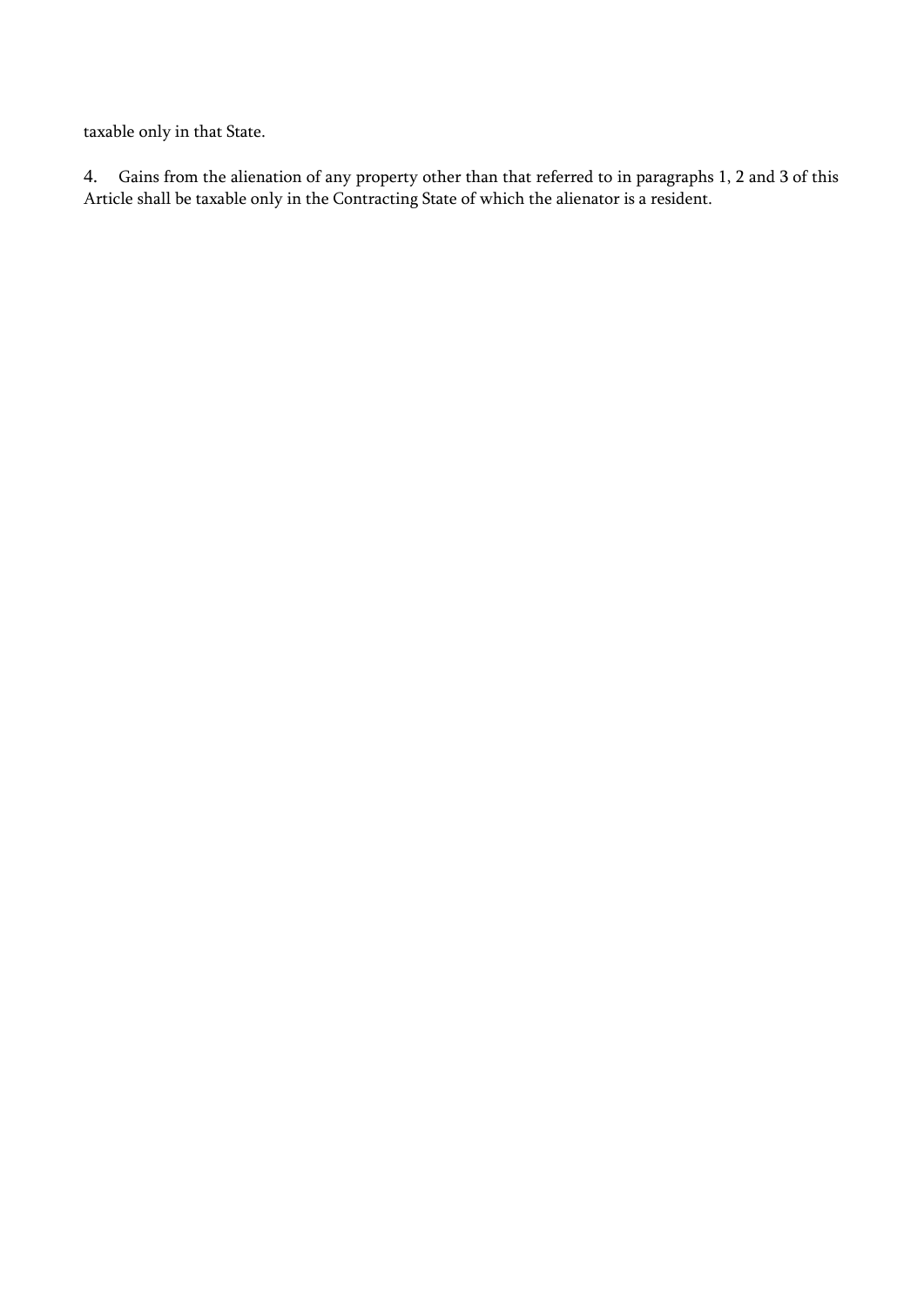taxable only in that State.

4. Gains from the alienation of any property other than that referred to in paragraphs 1, 2 and 3 of this Article shall be taxable only in the Contracting State of which the alienator is a resident.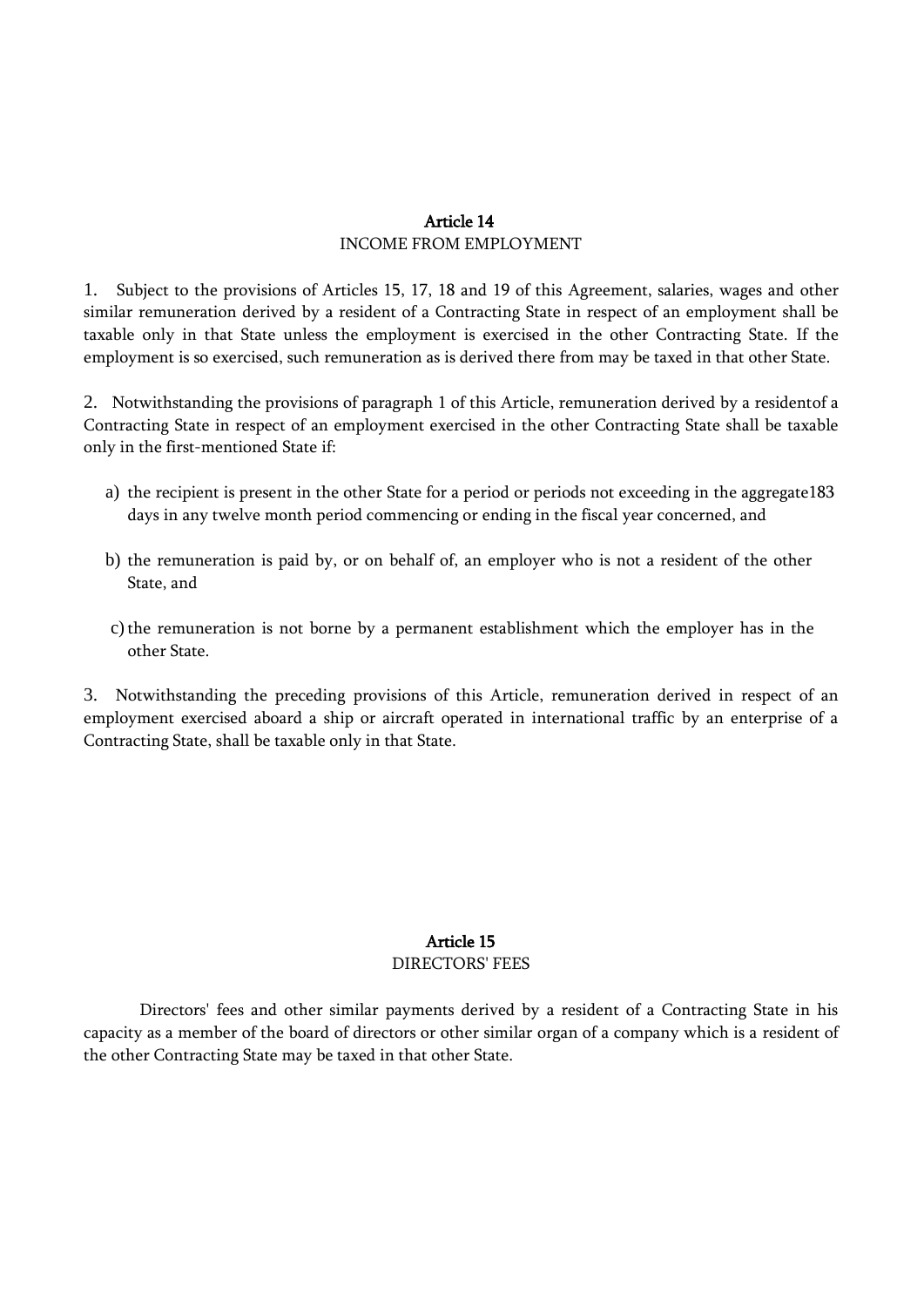### Article 14 INCOME FROM EMPLOYMENT

1. Subject to the provisions of Articles 15, 17, 18 and 19 of this Agreement, salaries, wages and other similar remuneration derived by a resident of a Contracting State in respect of an employment shall be taxable only in that State unless the employment is exercised in the other Contracting State. If the employment is so exercised, such remuneration as is derived there from may be taxed in that other State.

2. Notwithstanding the provisions of paragraph 1 of this Article, remuneration derived by a residentof a Contracting State in respect of an employment exercised in the other Contracting State shall be taxable only in the first-mentioned State if:

- a) the recipient is present in the other State for a period or periods not exceeding in the aggregate183 days in any twelve month period commencing or ending in the fiscal year concerned, and
- b) the remuneration is paid by, or on behalf of, an employer who is not a resident of the other State, and
- c) the remuneration is not borne by a permanent establishment which the employer has in the other State.

3. Notwithstanding the preceding provisions of this Article, remuneration derived in respect of an employment exercised aboard a ship or aircraft operated in international traffic by an enterprise of a Contracting State, shall be taxable only in that State.

### Article 15

#### DIRECTORS' FEES

Directors' fees and other similar payments derived by a resident of a Contracting State in his capacity as a member of the board of directors or other similar organ of a company which is a resident of the other Contracting State may be taxed in that other State.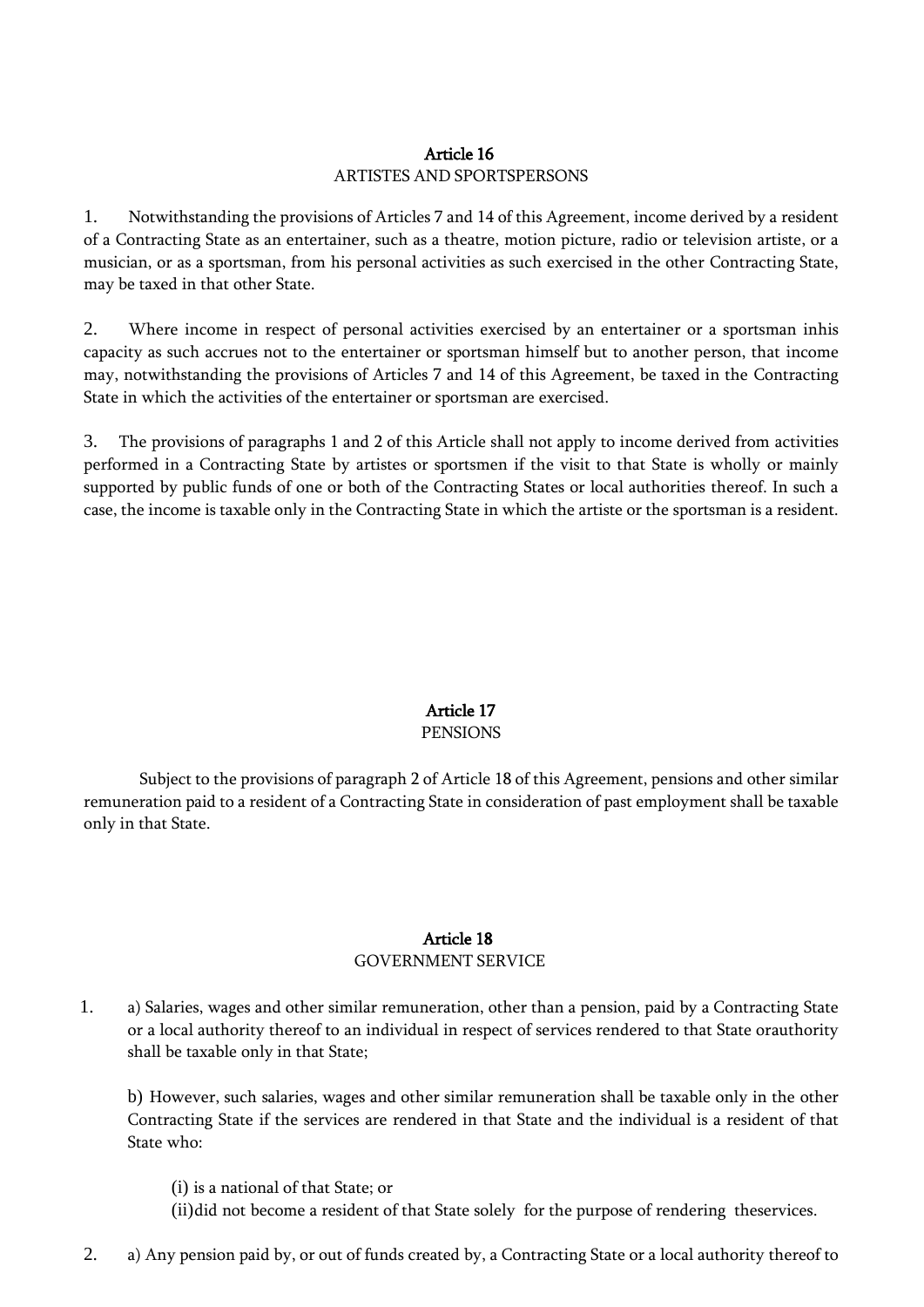### Article 16 ARTISTES AND SPORTSPERSONS

1. Notwithstanding the provisions of Articles 7 and 14 of this Agreement, income derived by a resident of a Contracting State as an entertainer, such as a theatre, motion picture, radio or television artiste, or a musician, or as a sportsman, from his personal activities as such exercised in the other Contracting State, may be taxed in that other State.

2. Where income in respect of personal activities exercised by an entertainer or a sportsman inhis capacity as such accrues not to the entertainer or sportsman himself but to another person, that income may, notwithstanding the provisions of Articles 7 and 14 of this Agreement, be taxed in the Contracting State in which the activities of the entertainer or sportsman are exercised.

3. The provisions of paragraphs 1 and 2 of this Article shall not apply to income derived from activities performed in a Contracting State by artistes or sportsmen if the visit to that State is wholly or mainly supported by public funds of one or both of the Contracting States or local authorities thereof. In such a case, the income is taxable only in the Contracting State in which the artiste or the sportsman is a resident.

### Article 17

### PENSIONS

Subject to the provisions of paragraph 2 of Article 18 of this Agreement, pensions and other similar remuneration paid to a resident of a Contracting State in consideration of past employment shall be taxable only in that State.

### Article 18

### GOVERNMENT SERVICE

1. a) Salaries, wages and other similar remuneration, other than a pension, paid by a Contracting State or a local authority thereof to an individual in respect of services rendered to that State orauthority shall be taxable only in that State;

b) However, such salaries, wages and other similar remuneration shall be taxable only in the other Contracting State if the services are rendered in that State and the individual is a resident of that State who:

(i) is a national of that State; or

(ii)did not become a resident of that State solely for the purpose of rendering theservices.

2. a) Any pension paid by, or out of funds created by, a Contracting State or a local authority thereof to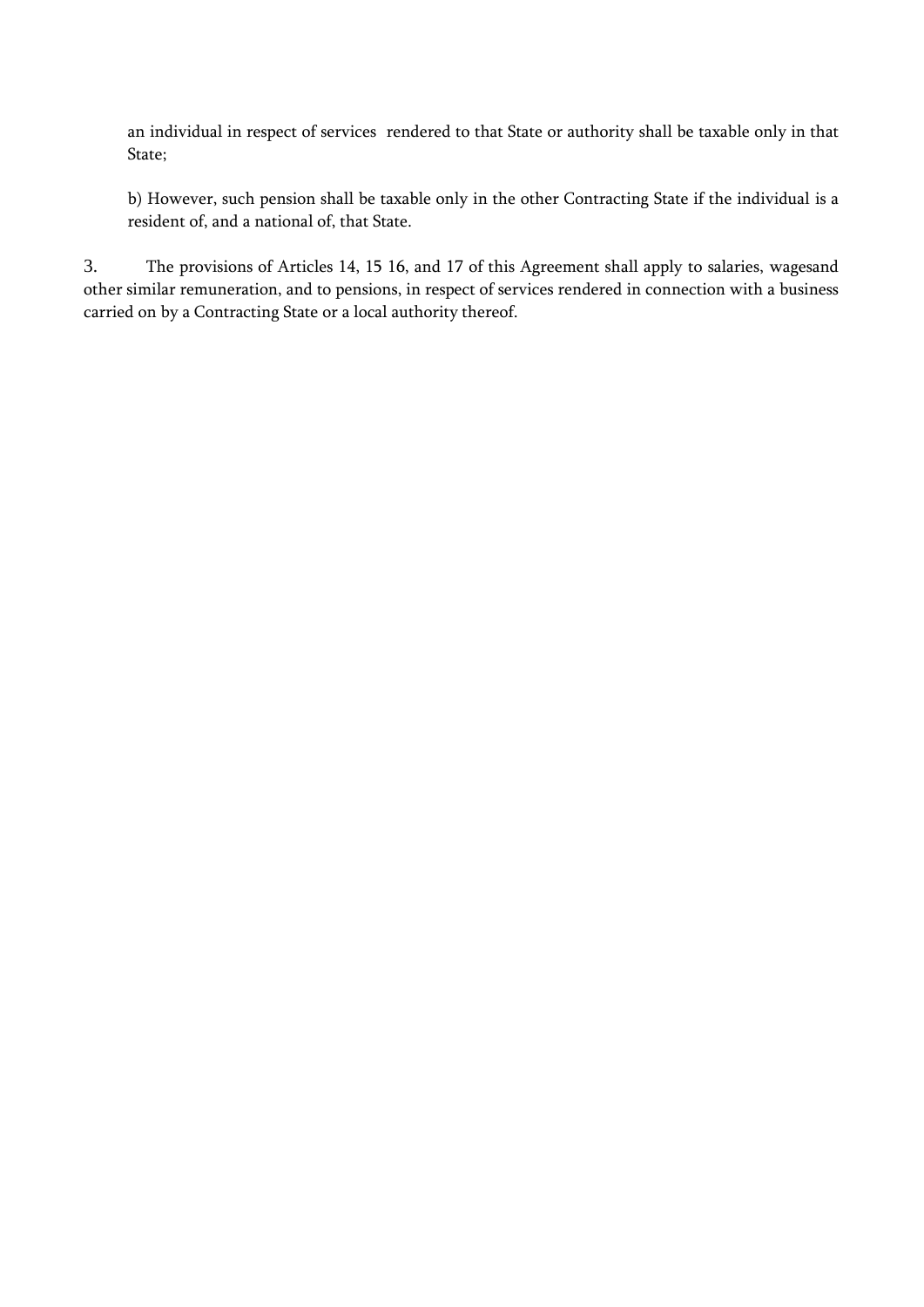an individual in respect of services rendered to that State or authority shall be taxable only in that State;

b) However, such pension shall be taxable only in the other Contracting State if the individual is a resident of, and a national of, that State.

3. The provisions of Articles 14, 15 16, and 17 of this Agreement shall apply to salaries, wagesand other similar remuneration, and to pensions, in respect of services rendered in connection with a business carried on by a Contracting State or a local authority thereof.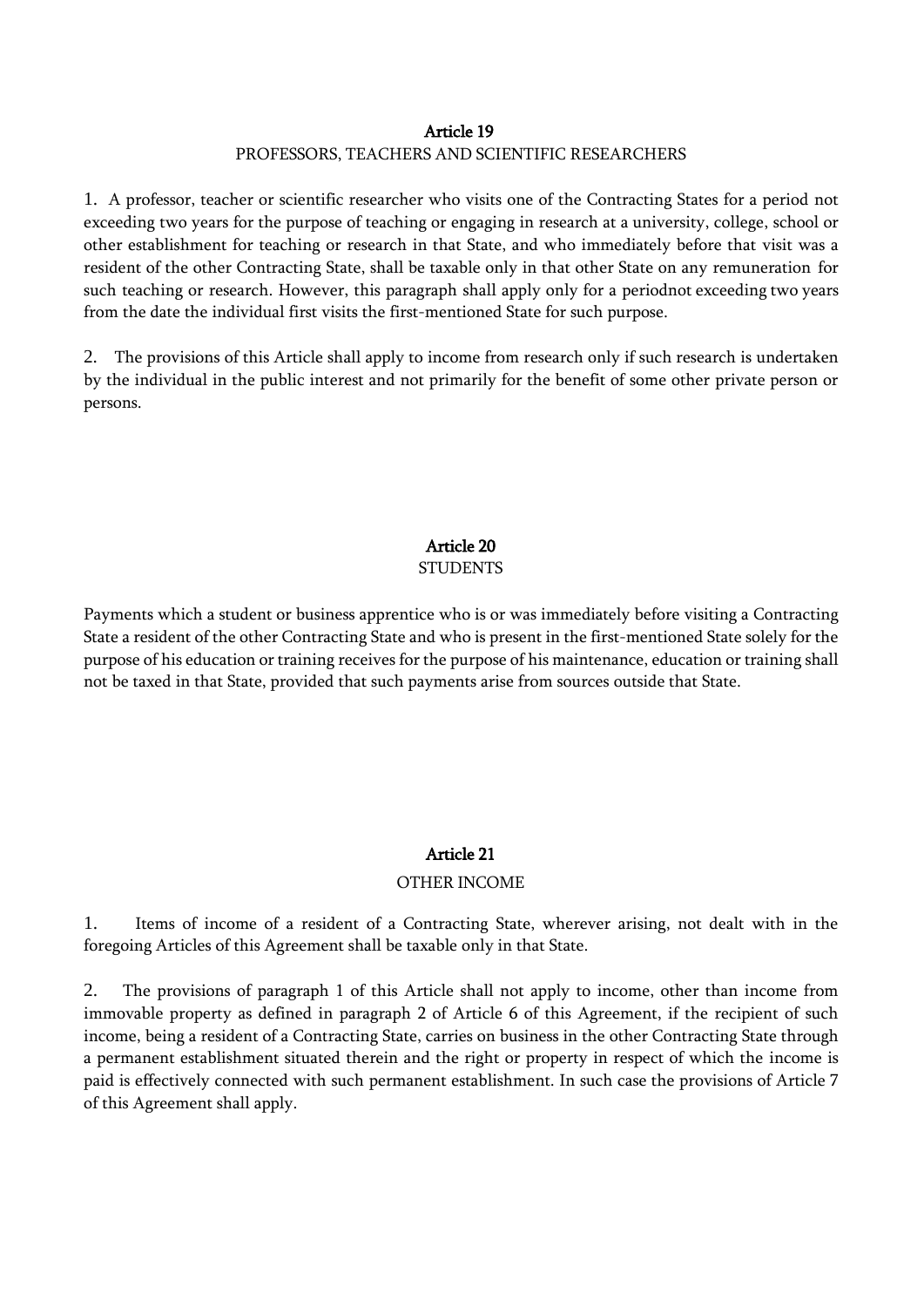### PROFESSORS, TEACHERS AND SCIENTIFIC RESEARCHERS

1. A professor, teacher or scientific researcher who visits one of the Contracting States for a period not exceeding two years for the purpose of teaching or engaging in research at a university, college, school or other establishment for teaching or research in that State, and who immediately before that visit was a resident of the other Contracting State, shall be taxable only in that other State on any remuneration for such teaching or research. However, this paragraph shall apply only for a periodnot exceeding two years from the date the individual first visits the first-mentioned State for such purpose.

2. The provisions of this Article shall apply to income from research only if such research is undertaken by the individual in the public interest and not primarily for the benefit of some other private person or persons.

#### Article 20 **STUDENTS**

Payments which a student or business apprentice who is or was immediately before visiting a Contracting State a resident of the other Contracting State and who is present in the first-mentioned State solely for the purpose of his education or training receives for the purpose of his maintenance, education or training shall not be taxed in that State, provided that such payments arise from sources outside that State.

### Article 21

### OTHER INCOME

1. Items of income of a resident of a Contracting State, wherever arising, not dealt with in the foregoing Articles of this Agreement shall be taxable only in that State.

2. The provisions of paragraph 1 of this Article shall not apply to income, other than income from immovable property as defined in paragraph 2 of Article 6 of this Agreement, if the recipient of such income, being a resident of a Contracting State, carries on business in the other Contracting State through a permanent establishment situated therein and the right or property in respect of which the income is paid is effectively connected with such permanent establishment. In such case the provisions of Article 7 of this Agreement shall apply.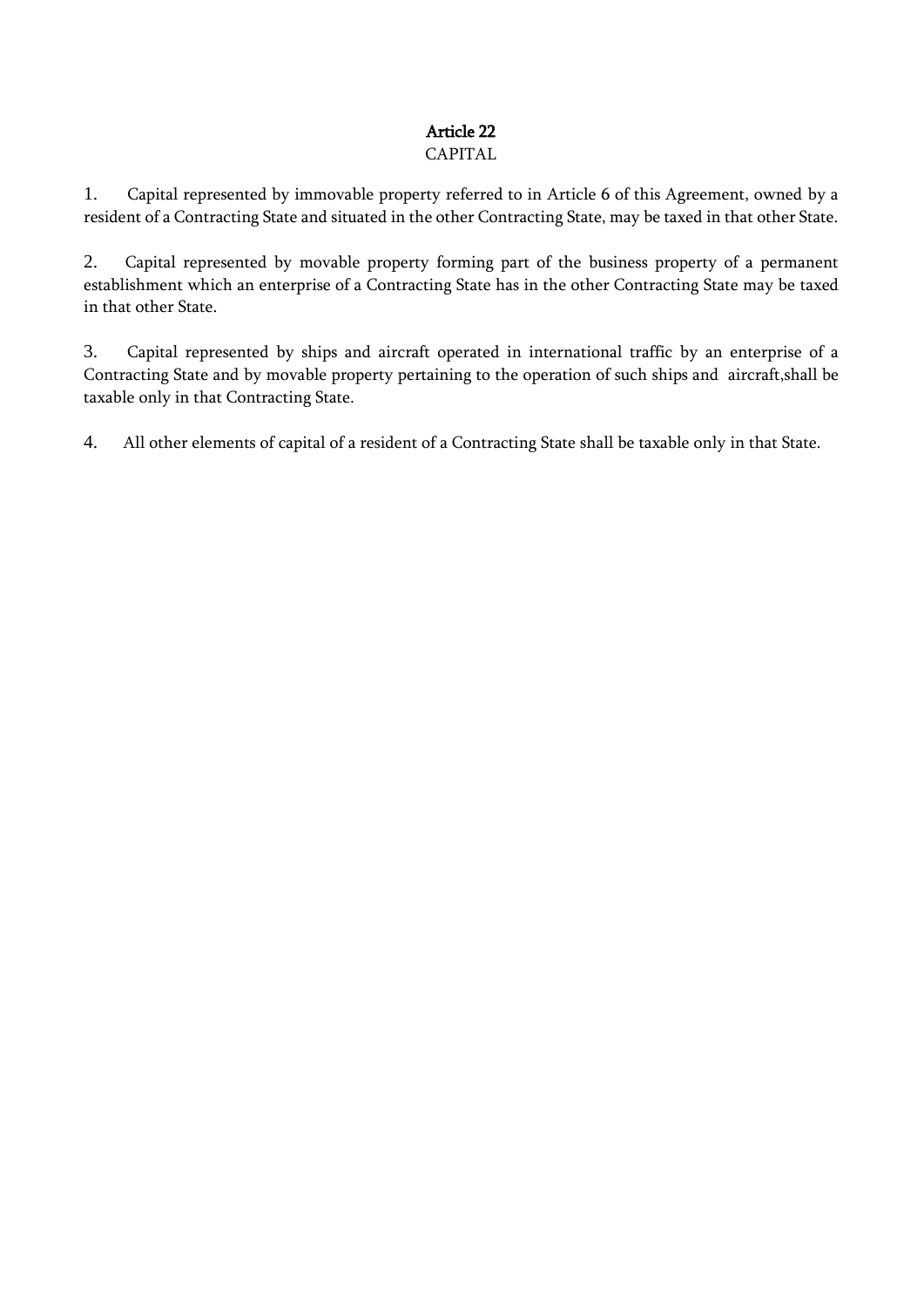### CAPITAL

1. Capital represented by immovable property referred to in Article 6 of this Agreement, owned by a resident of a Contracting State and situated in the other Contracting State, may be taxed in that other State.

2. Capital represented by movable property forming part of the business property of a permanent establishment which an enterprise of a Contracting State has in the other Contracting State may be taxed in that other State.

3. Capital represented by ships and aircraft operated in international traffic by an enterprise of a Contracting State and by movable property pertaining to the operation of such ships and aircraft,shall be taxable only in that Contracting State.

4. All other elements of capital of a resident of a Contracting State shall be taxable only in that State.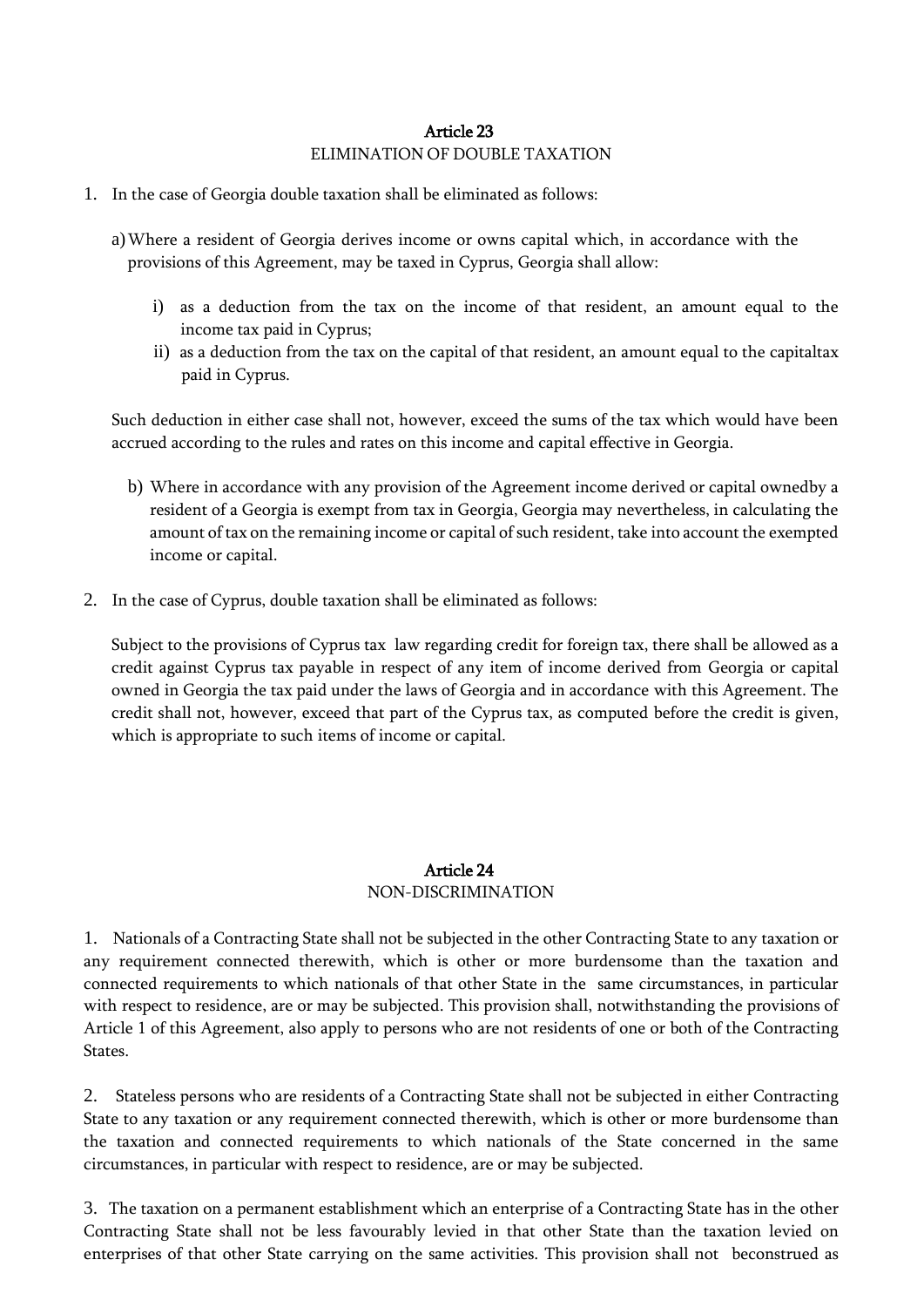#### ELIMINATION OF DOUBLE TAXATION

- 1. In the case of Georgia double taxation shall be eliminated as follows:
	- a)Where a resident of Georgia derives income or owns capital which, in accordance with the provisions of this Agreement, may be taxed in Cyprus, Georgia shall allow:
		- i) as a deduction from the tax on the income of that resident, an amount equal to the income tax paid in Cyprus;
		- ii) as a deduction from the tax on the capital of that resident, an amount equal to the capitaltax paid in Cyprus.

Such deduction in either case shall not, however, exceed the sums of the tax which would have been accrued according to the rules and rates on this income and capital effective in Georgia.

- b) Where in accordance with any provision of the Agreement income derived or capital ownedby a resident of a Georgia is exempt from tax in Georgia, Georgia may nevertheless, in calculating the amount of tax on the remaining income or capital of such resident, take into account the exempted income or capital.
- 2. In the case of Cyprus, double taxation shall be eliminated as follows:

Subject to the provisions of Cyprus tax law regarding credit for foreign tax, there shall be allowed as a credit against Cyprus tax payable in respect of any item of income derived from Georgia or capital owned in Georgia the tax paid under the laws of Georgia and in accordance with this Agreement. The credit shall not, however, exceed that part of the Cyprus tax, as computed before the credit is given, which is appropriate to such items of income or capital.

### Article 24

#### NON-DISCRIMINATION

1. Nationals of a Contracting State shall not be subjected in the other Contracting State to any taxation or any requirement connected therewith, which is other or more burdensome than the taxation and connected requirements to which nationals of that other State in the same circumstances, in particular with respect to residence, are or may be subjected. This provision shall, notwithstanding the provisions of Article 1 of this Agreement, also apply to persons who are not residents of one or both of the Contracting States.

2. Stateless persons who are residents of a Contracting State shall not be subjected in either Contracting State to any taxation or any requirement connected therewith, which is other or more burdensome than the taxation and connected requirements to which nationals of the State concerned in the same circumstances, in particular with respect to residence, are or may be subjected.

3. The taxation on a permanent establishment which an enterprise of a Contracting State has in the other Contracting State shall not be less favourably levied in that other State than the taxation levied on enterprises of that other State carrying on the same activities. This provision shall not beconstrued as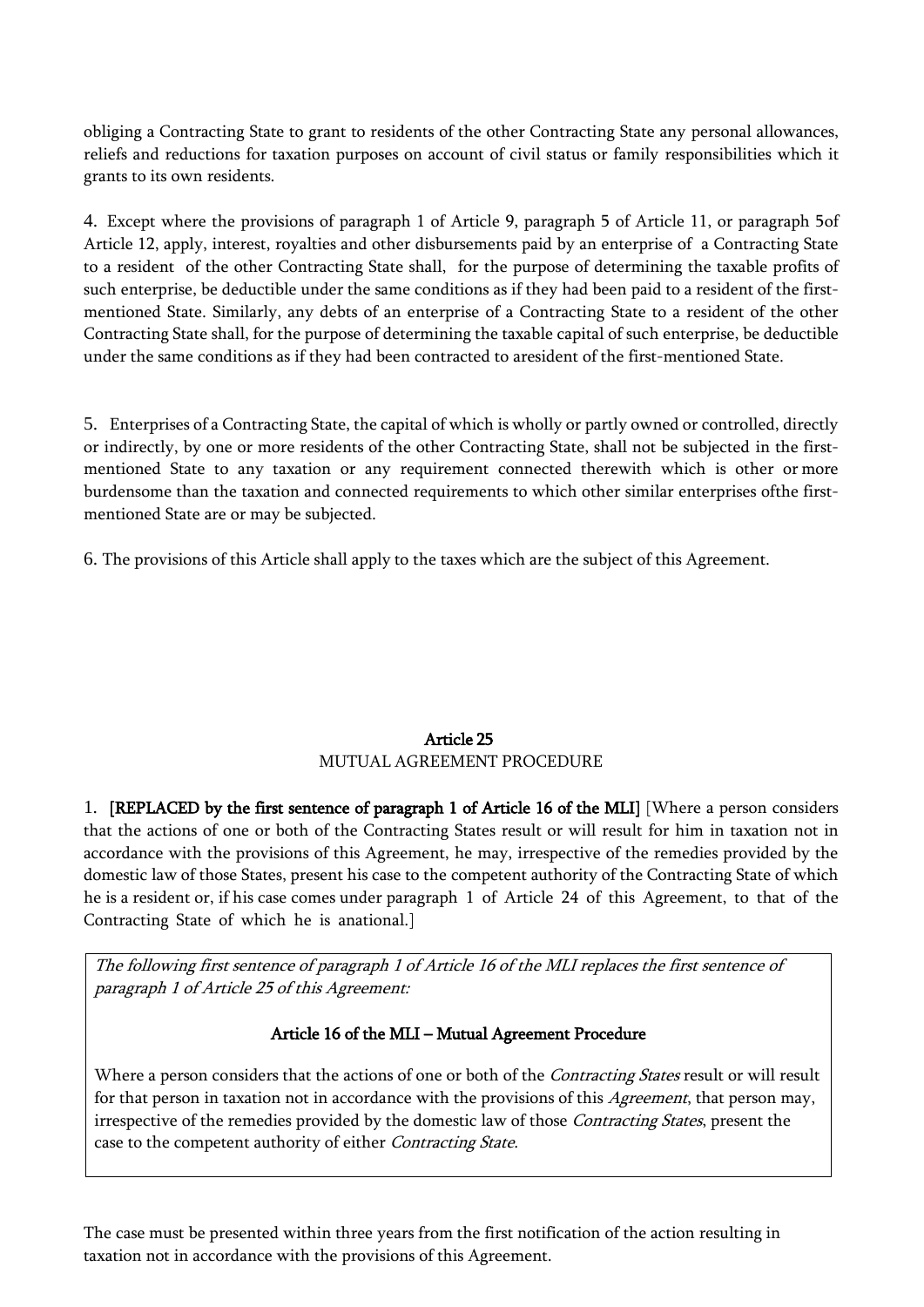obliging a Contracting State to grant to residents of the other Contracting State any personal allowances, reliefs and reductions for taxation purposes on account of civil status or family responsibilities which it grants to its own residents.

4. Except where the provisions of paragraph 1 of Article 9, paragraph 5 of Article 11, or paragraph 5of Article 12, apply, interest, royalties and other disbursements paid by an enterprise of a Contracting State to a resident of the other Contracting State shall, for the purpose of determining the taxable profits of such enterprise, be deductible under the same conditions as if they had been paid to a resident of the firstmentioned State. Similarly, any debts of an enterprise of a Contracting State to a resident of the other Contracting State shall, for the purpose of determining the taxable capital of such enterprise, be deductible under the same conditions as if they had been contracted to aresident of the first-mentioned State.

5. Enterprises of a Contracting State, the capital of which is wholly or partly owned or controlled, directly or indirectly, by one or more residents of the other Contracting State, shall not be subjected in the firstmentioned State to any taxation or any requirement connected therewith which is other or more burdensome than the taxation and connected requirements to which other similar enterprises ofthe firstmentioned State are or may be subjected.

6. The provisions of this Article shall apply to the taxes which are the subject of this Agreement.

### Article 25 MUTUAL AGREEMENT PROCEDURE

1. [REPLACED by the first sentence of paragraph 1 of Article 16 of the MLI] [Where a person considers that the actions of one or both of the Contracting States result or will result for him in taxation not in accordance with the provisions of this Agreement, he may, irrespective of the remedies provided by the domestic law of those States, present his case to the competent authority of the Contracting State of which he is a resident or, if his case comes under paragraph 1 of Article 24 of this Agreement, to that of the Contracting State of which he is anational.]

The following first sentence of paragraph 1 of Article 16 of the MLI replaces the first sentence of paragraph 1 of Article 25 of this Agreement:

### Article 16 of the MLI – Mutual Agreement Procedure

Where a person considers that the actions of one or both of the *Contracting States* result or will result for that person in taxation not in accordance with the provisions of this Agreement, that person may, irrespective of the remedies provided by the domestic law of those *Contracting States*, present the case to the competent authority of either Contracting State.

The case must be presented within three years from the first notification of the action resulting in taxation not in accordance with the provisions of this Agreement.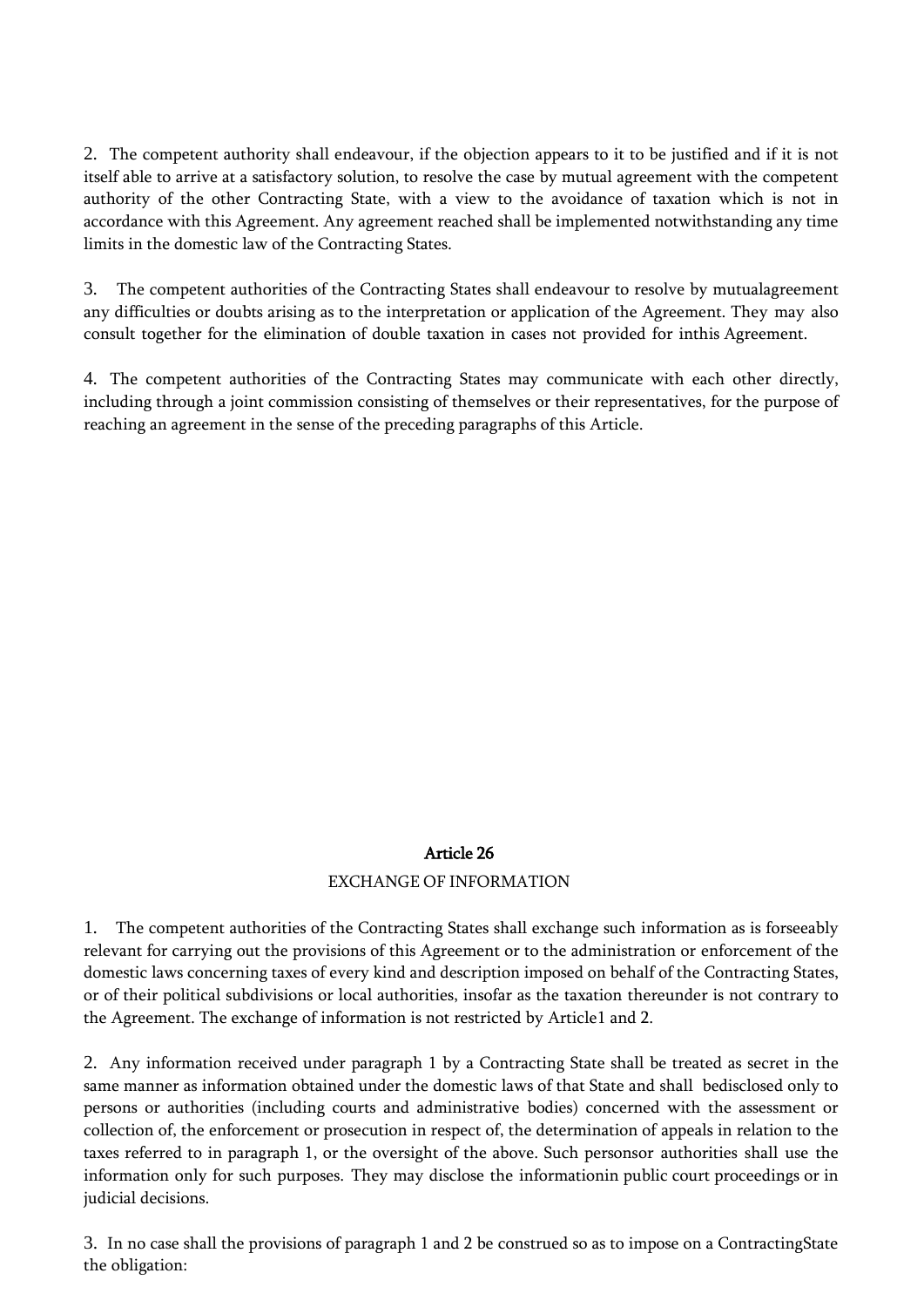2. The competent authority shall endeavour, if the objection appears to it to be justified and if it is not itself able to arrive at a satisfactory solution, to resolve the case by mutual agreement with the competent authority of the other Contracting State, with a view to the avoidance of taxation which is not in accordance with this Agreement. Any agreement reached shall be implemented notwithstanding any time limits in the domestic law of the Contracting States.

3. The competent authorities of the Contracting States shall endeavour to resolve by mutualagreement any difficulties or doubts arising as to the interpretation or application of the Agreement. They may also consult together for the elimination of double taxation in cases not provided for inthis Agreement.

4. The competent authorities of the Contracting States may communicate with each other directly, including through a joint commission consisting of themselves or their representatives, for the purpose of reaching an agreement in the sense of the preceding paragraphs of this Article.

### Article 26

### EXCHANGE OF INFORMATION

1. The competent authorities of the Contracting States shall exchange such information as is forseeably relevant for carrying out the provisions of this Agreement or to the administration or enforcement of the domestic laws concerning taxes of every kind and description imposed on behalf of the Contracting States, or of their political subdivisions or local authorities, insofar as the taxation thereunder is not contrary to the Agreement. The exchange of information is not restricted by Article1 and 2.

2. Any information received under paragraph 1 by a Contracting State shall be treated as secret in the same manner as information obtained under the domestic laws of that State and shall bedisclosed only to persons or authorities (including courts and administrative bodies) concerned with the assessment or collection of, the enforcement or prosecution in respect of, the determination of appeals in relation to the taxes referred to in paragraph 1, or the oversight of the above. Such personsor authorities shall use the information only for such purposes. They may disclose the informationin public court proceedings or in judicial decisions.

3. In no case shall the provisions of paragraph 1 and 2 be construed so as to impose on a ContractingState the obligation: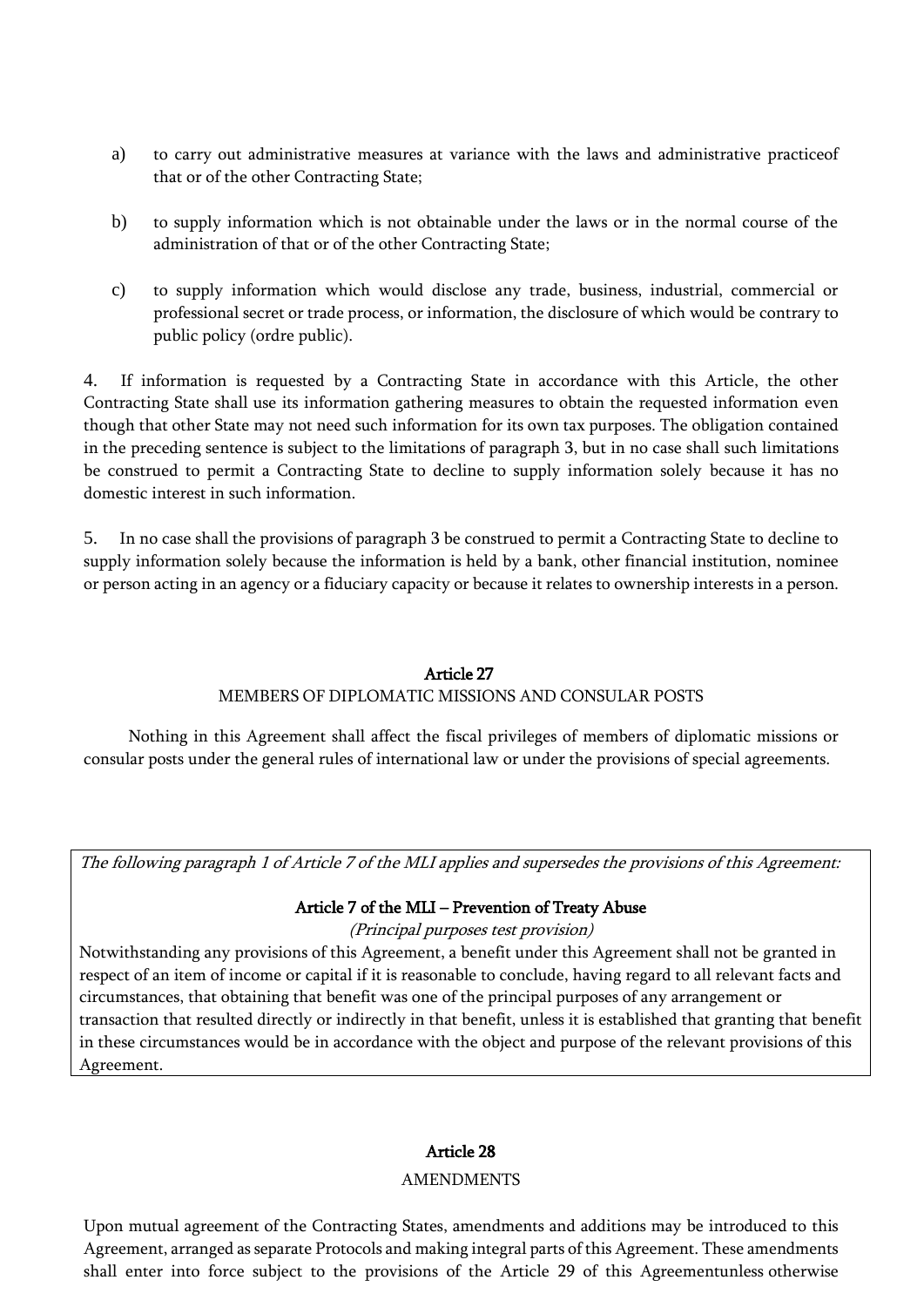- a) to carry out administrative measures at variance with the laws and administrative practiceof that or of the other Contracting State;
- b) to supply information which is not obtainable under the laws or in the normal course of the administration of that or of the other Contracting State;
- c) to supply information which would disclose any trade, business, industrial, commercial or professional secret or trade process, or information, the disclosure of which would be contrary to public policy (ordre public).

4. If information is requested by a Contracting State in accordance with this Article, the other Contracting State shall use its information gathering measures to obtain the requested information even though that other State may not need such information for its own tax purposes. The obligation contained in the preceding sentence is subject to the limitations of paragraph 3, but in no case shall such limitations be construed to permit a Contracting State to decline to supply information solely because it has no domestic interest in such information.

5. In no case shall the provisions of paragraph 3 be construed to permit a Contracting State to decline to supply information solely because the information is held by a bank, other financial institution, nominee or person acting in an agency or a fiduciary capacity or because it relates to ownership interests in a person.

### Article 27 MEMBERS OF DIPLOMATIC MISSIONS AND CONSULAR POSTS

Nothing in this Agreement shall affect the fiscal privileges of members of diplomatic missions or consular posts under the general rules of international law or under the provisions of special agreements.

The following paragraph 1 of Article 7 of the MLI applies and supersedes the provisions of this Agreement:

### Article 7 of the MLI – Prevention of Treaty Abuse

### (Principal purposes test provision)

Notwithstanding any provisions of this Agreement, a benefit under this Agreement shall not be granted in respect of an item of income or capital if it is reasonable to conclude, having regard to all relevant facts and circumstances, that obtaining that benefit was one of the principal purposes of any arrangement or transaction that resulted directly or indirectly in that benefit, unless it is established that granting that benefit in these circumstances would be in accordance with the object and purpose of the relevant provisions of this Agreement.

### Article 28

### AMENDMENTS

Upon mutual agreement of the Contracting States, amendments and additions may be introduced to this Agreement, arranged as separate Protocols and making integral parts of this Agreement. These amendments shall enter into force subject to the provisions of the Article 29 of this Agreementunless otherwise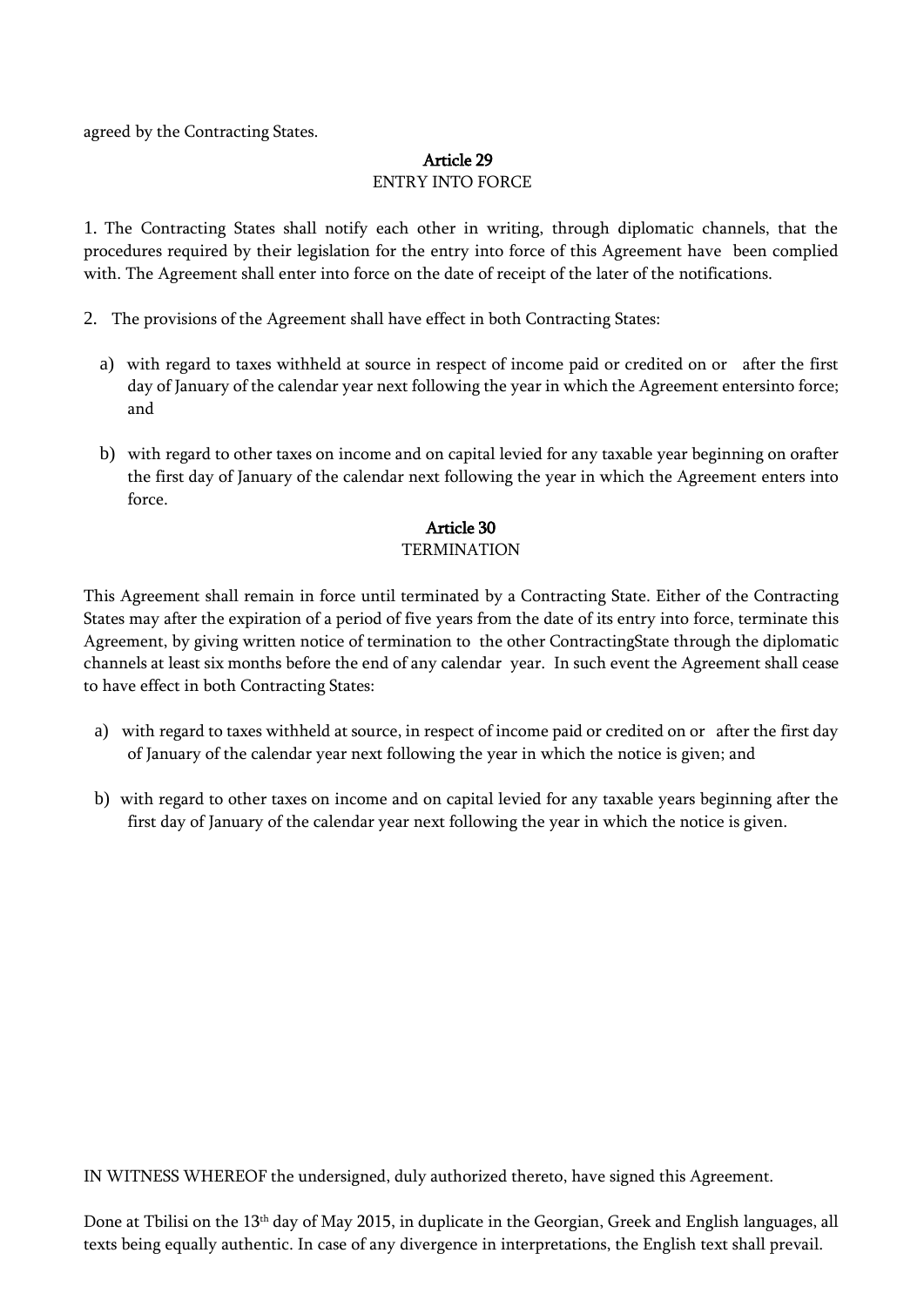agreed by the Contracting States.

### Article 29

### ENTRY INTO FORCE

1. The Contracting States shall notify each other in writing, through diplomatic channels, that the procedures required by their legislation for the entry into force of this Agreement have been complied with. The Agreement shall enter into force on the date of receipt of the later of the notifications.

- 2. The provisions of the Agreement shall have effect in both Contracting States:
	- a) with regard to taxes withheld at source in respect of income paid or credited on or after the first day of January of the calendar year next following the year in which the Agreement entersinto force; and
	- b) with regard to other taxes on income and on capital levied for any taxable year beginning on orafter the first day of January of the calendar next following the year in which the Agreement enters into force.

# Article 30 **TERMINATION**

This Agreement shall remain in force until terminated by a Contracting State. Either of the Contracting States may after the expiration of a period of five years from the date of its entry into force, terminate this Agreement, by giving written notice of termination to the other ContractingState through the diplomatic channels at least six months before the end of any calendar year. In such event the Agreement shall cease to have effect in both Contracting States:

- a) with regard to taxes withheld at source, in respect of income paid or credited on or after the first day of January of the calendar year next following the year in which the notice is given; and
- b) with regard to other taxes on income and on capital levied for any taxable years beginning after the first day of January of the calendar year next following the year in which the notice is given.

IN WITNESS WHEREOF the undersigned, duly authorized thereto, have signed this Agreement.

Done at Tbilisi on the 13th day of May 2015, in duplicate in the Georgian, Greek and English languages, all texts being equally authentic. In case of any divergence in interpretations, the English text shall prevail.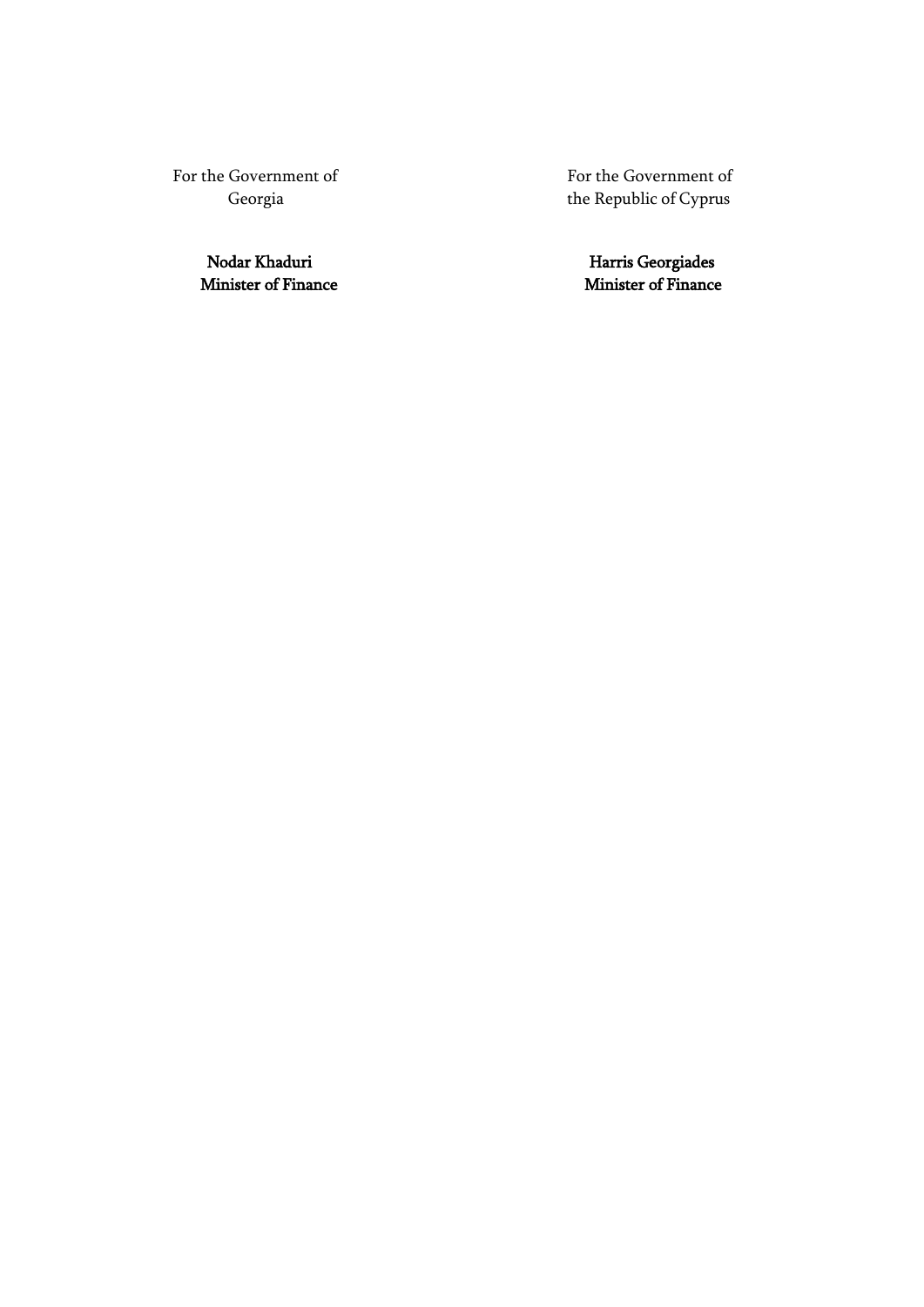Nodar Khaduri 1983 - 1994 - 1995 - 1996 - 1997 - 1998 - 1998 - 1999 - 1999 - 1999 - 1999 - 1999 - 1999 - 1999 - 1999 - 1999 - 1999 - 1999 - 1999 - 1999 - 1999 - 1999 - 1999 - 1999 - 1999 - 1999 - 1999 - 1999 - 1999 - 1999

For the Government of For the Government of Georgia Republic of Cyprus the Republic of Cyprus

Minister of Finance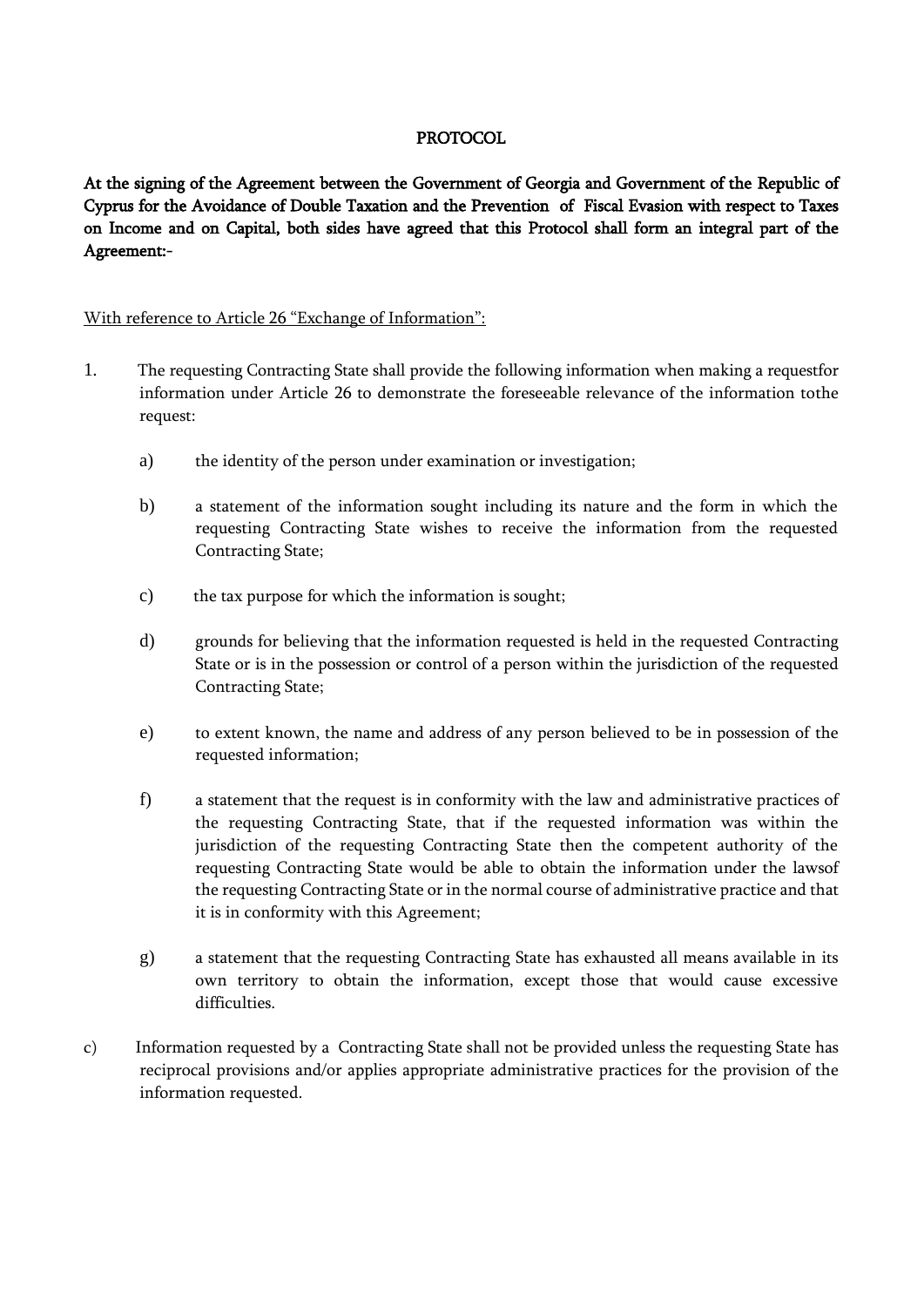### PROTOCOL

At the signing of the Agreement between the Government of Georgia and Government of the Republic of Cyprus for the Avoidance of Double Taxation and the Prevention of Fiscal Evasion with respect to Taxes on Income and on Capital, both sides have agreed that this Protocol shall form an integral part of the Agreement:-

### With reference to Article 26 "Exchange of Information":

- 1. The requesting Contracting State shall provide the following information when making a requestfor information under Article 26 to demonstrate the foreseeable relevance of the information tothe request:
	- a) the identity of the person under examination or investigation;
	- b) a statement of the information sought including its nature and the form in which the requesting Contracting State wishes to receive the information from the requested Contracting State;
	- c) the tax purpose for which the information is sought;
	- d) grounds for believing that the information requested is held in the requested Contracting State or is in the possession or control of a person within the jurisdiction of the requested Contracting State;
	- e) to extent known, the name and address of any person believed to be in possession of the requested information;
	- f) a statement that the request is in conformity with the law and administrative practices of the requesting Contracting State, that if the requested information was within the jurisdiction of the requesting Contracting State then the competent authority of the requesting Contracting State would be able to obtain the information under the lawsof the requesting Contracting State or in the normal course of administrative practice and that it is in conformity with this Agreement;
	- g) a statement that the requesting Contracting State has exhausted all means available in its own territory to obtain the information, except those that would cause excessive difficulties.
- c) Information requested by a Contracting State shall not be provided unless the requesting State has reciprocal provisions and/or applies appropriate administrative practices for the provision of the information requested.